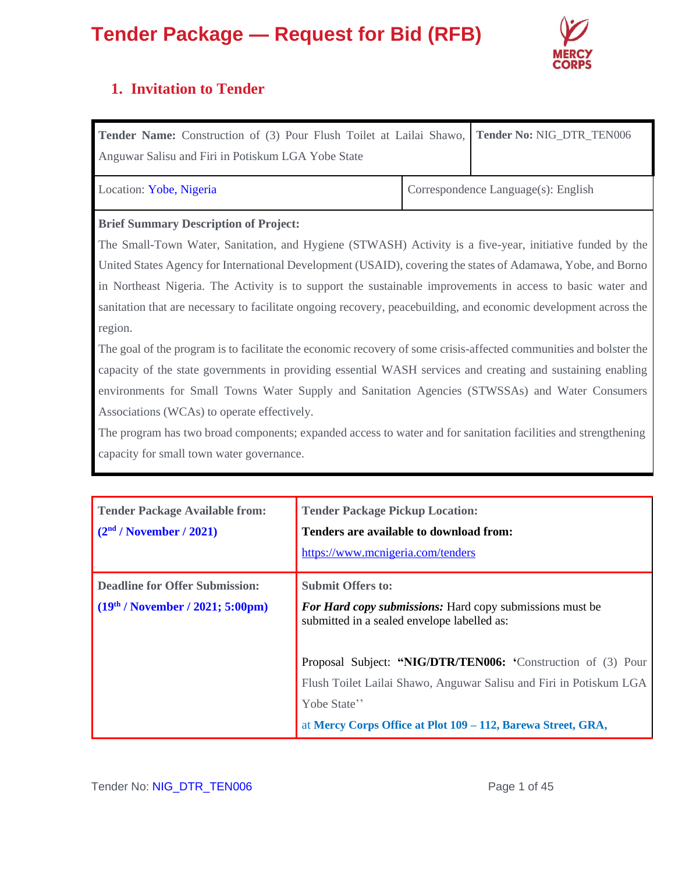

### **1. Invitation to Tender**

| Tender Name: Construction of (3) Pour Flush Toilet at Lailai Shawo, Tender No: NIG_DTR_TEN006 |  |
|-----------------------------------------------------------------------------------------------|--|
| Anguwar Salisu and Firi in Potiskum LGA Yobe State                                            |  |

Location: Yobe, Nigeria Correspondence Language(s): English

### **Brief Summary Description of Project:**

The Small-Town Water, Sanitation, and Hygiene (STWASH) Activity is a five-year, initiative funded by the United States Agency for International Development (USAID), covering the states of Adamawa, Yobe, and Borno in Northeast Nigeria. The Activity is to support the sustainable improvements in access to basic water and sanitation that are necessary to facilitate ongoing recovery, peacebuilding, and economic development across the region.

The goal of the program is to facilitate the economic recovery of some crisis-affected communities and bolster the capacity of the state governments in providing essential WASH services and creating and sustaining enabling environments for Small Towns Water Supply and Sanitation Agencies (STWSSAs) and Water Consumers Associations (WCAs) to operate effectively.

The program has two broad components; expanded access to water and for sanitation facilities and strengthening capacity for small town water governance.

| <b>Tender Package Available from:</b><br>(2 <sup>nd</sup> / November / 2021) | <b>Tender Package Pickup Location:</b><br>Tenders are available to download from:<br>https://www.mcnigeria.com/tenders                                                                                            |
|------------------------------------------------------------------------------|-------------------------------------------------------------------------------------------------------------------------------------------------------------------------------------------------------------------|
| <b>Deadline for Offer Submission:</b><br>$(19th / November / 2021; 5:00pm)$  | <b>Submit Offers to:</b><br><b>For Hard copy submissions:</b> Hard copy submissions must be<br>submitted in a sealed envelope labelled as:                                                                        |
|                                                                              | Proposal Subject: "NIG/DTR/TEN006: 'Construction of (3) Pour<br>Flush Toilet Lailai Shawo, Anguwar Salisu and Firi in Potiskum LGA<br>Yobe State"<br>at Mercy Corps Office at Plot 109 – 112, Barewa Street, GRA, |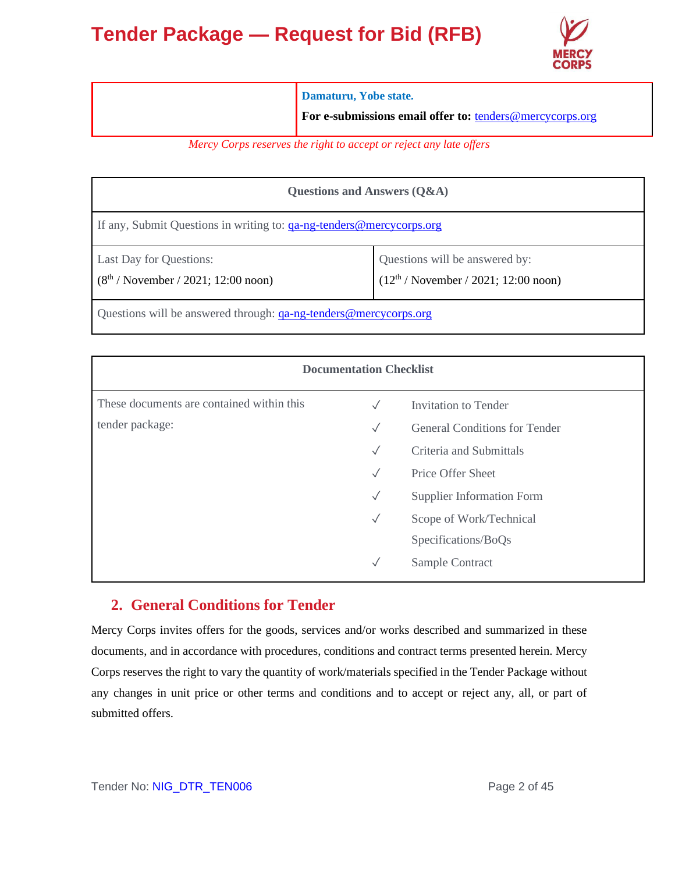

| Damaturu, Yobe state.                                    |
|----------------------------------------------------------|
| For e-submissions email offer to: tenders@mercycorps.org |

*Mercy Corps reserves the right to accept or reject any late offers*

| Questions and Answers (Q&A)                                             |                                                                          |  |  |  |
|-------------------------------------------------------------------------|--------------------------------------------------------------------------|--|--|--|
| If any, Submit Questions in writing to: ga-ng-tenders@mercycorps.org    |                                                                          |  |  |  |
| <b>Last Day for Questions:</b><br>$(8th / November / 2021; 12:00 noon)$ | Questions will be answered by:<br>$(12th / November / 2021; 12:00 noon)$ |  |  |  |
| Questions will be answered through: <u>qa-ng-tenders@mercycorps.org</u> |                                                                          |  |  |  |

| <b>Documentation Checklist</b>            |              |                                      |  |  |  |
|-------------------------------------------|--------------|--------------------------------------|--|--|--|
| These documents are contained within this | $\sqrt{}$    | Invitation to Tender                 |  |  |  |
| tender package:                           | $\checkmark$ | <b>General Conditions for Tender</b> |  |  |  |
|                                           | $\sqrt{}$    | Criteria and Submittals              |  |  |  |
|                                           | $\sqrt{}$    | <b>Price Offer Sheet</b>             |  |  |  |
|                                           | $\checkmark$ | <b>Supplier Information Form</b>     |  |  |  |
|                                           | $\checkmark$ | Scope of Work/Technical              |  |  |  |
|                                           |              | Specifications/BoQs                  |  |  |  |
|                                           | $\checkmark$ | Sample Contract                      |  |  |  |

### **2. General Conditions for Tender**

Mercy Corps invites offers for the goods, services and/or works described and summarized in these documents, and in accordance with procedures, conditions and contract terms presented herein. Mercy Corps reserves the right to vary the quantity of work/materials specified in the Tender Package without any changes in unit price or other terms and conditions and to accept or reject any, all, or part of submitted offers.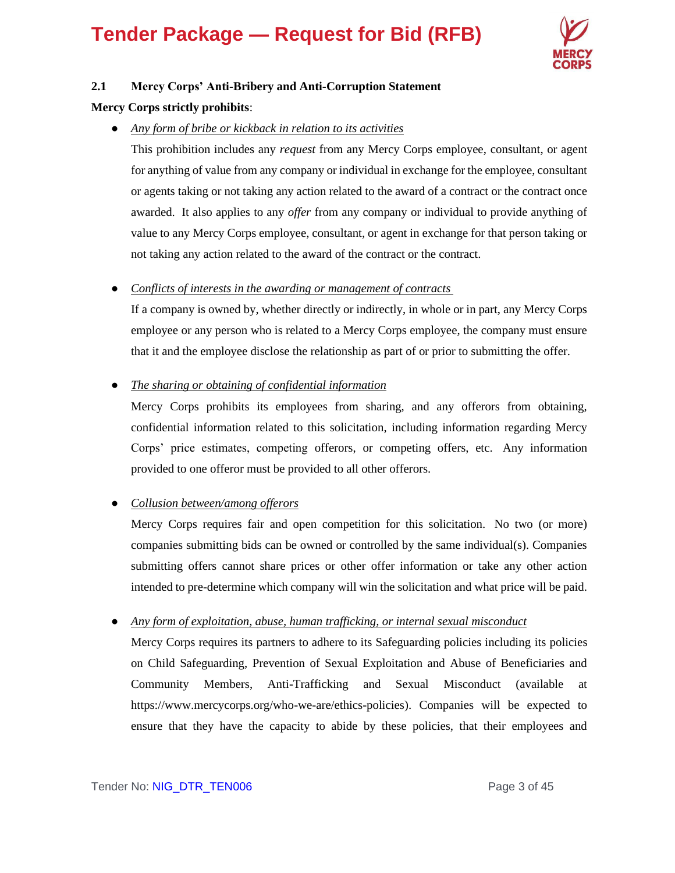

### **2.1 Mercy Corps' Anti-Bribery and Anti-Corruption Statement**

#### **Mercy Corps strictly prohibits**:

● *Any form of bribe or kickback in relation to its activities*

This prohibition includes any *request* from any Mercy Corps employee, consultant, or agent for anything of value from any company or individual in exchange for the employee, consultant or agents taking or not taking any action related to the award of a contract or the contract once awarded. It also applies to any *offer* from any company or individual to provide anything of value to any Mercy Corps employee, consultant, or agent in exchange for that person taking or not taking any action related to the award of the contract or the contract.

● *Conflicts of interests in the awarding or management of contracts*

If a company is owned by, whether directly or indirectly, in whole or in part, any Mercy Corps employee or any person who is related to a Mercy Corps employee, the company must ensure that it and the employee disclose the relationship as part of or prior to submitting the offer.

● *The sharing or obtaining of confidential information*

Mercy Corps prohibits its employees from sharing, and any offerors from obtaining, confidential information related to this solicitation, including information regarding Mercy Corps' price estimates, competing offerors, or competing offers, etc. Any information provided to one offeror must be provided to all other offerors.

### ● *Collusion between/among offerors*

Mercy Corps requires fair and open competition for this solicitation. No two (or more) companies submitting bids can be owned or controlled by the same individual(s). Companies submitting offers cannot share prices or other offer information or take any other action intended to pre-determine which company will win the solicitation and what price will be paid.

### ● *Any form of exploitation, abuse, human trafficking, or internal sexual misconduct*

Mercy Corps requires its partners to adhere to its Safeguarding policies including its policies on Child Safeguarding, Prevention of Sexual Exploitation and Abuse of Beneficiaries and Community Members, Anti-Trafficking and Sexual Misconduct (available at https://www.mercycorps.org/who-we-are/ethics-policies). Companies will be expected to ensure that they have the capacity to abide by these policies, that their employees and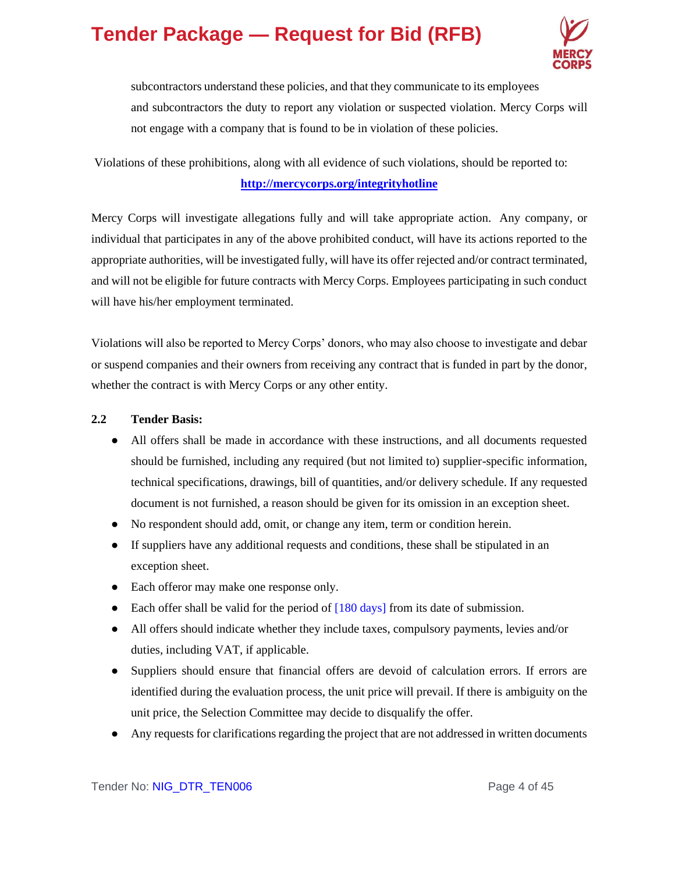

subcontractors understand these policies, and that they communicate to its employees and subcontractors the duty to report any violation or suspected violation. Mercy Corps will not engage with a company that is found to be in violation of these policies.

### Violations of these prohibitions, along with all evidence of such violations, should be reported to: **<http://mercycorps.org/integrityhotline>**

Mercy Corps will investigate allegations fully and will take appropriate action. Any company, or individual that participates in any of the above prohibited conduct, will have its actions reported to the appropriate authorities, will be investigated fully, will have its offer rejected and/or contract terminated, and will not be eligible for future contracts with Mercy Corps. Employees participating in such conduct will have his/her employment terminated.

Violations will also be reported to Mercy Corps' donors, who may also choose to investigate and debar or suspend companies and their owners from receiving any contract that is funded in part by the donor, whether the contract is with Mercy Corps or any other entity.

### **2.2 Tender Basis:**

- All offers shall be made in accordance with these instructions, and all documents requested should be furnished, including any required (but not limited to) supplier-specific information, technical specifications, drawings, bill of quantities, and/or delivery schedule. If any requested document is not furnished, a reason should be given for its omission in an exception sheet.
- No respondent should add, omit, or change any item, term or condition herein.
- If suppliers have any additional requests and conditions, these shall be stipulated in an exception sheet.
- Each offeror may make one response only.
- Each offer shall be valid for the period of  $[180 \text{ days}]$  from its date of submission.
- All offers should indicate whether they include taxes, compulsory payments, levies and/or duties, including VAT, if applicable.
- Suppliers should ensure that financial offers are devoid of calculation errors. If errors are identified during the evaluation process, the unit price will prevail. If there is ambiguity on the unit price, the Selection Committee may decide to disqualify the offer.
- Any requests for clarifications regarding the project that are not addressed in written documents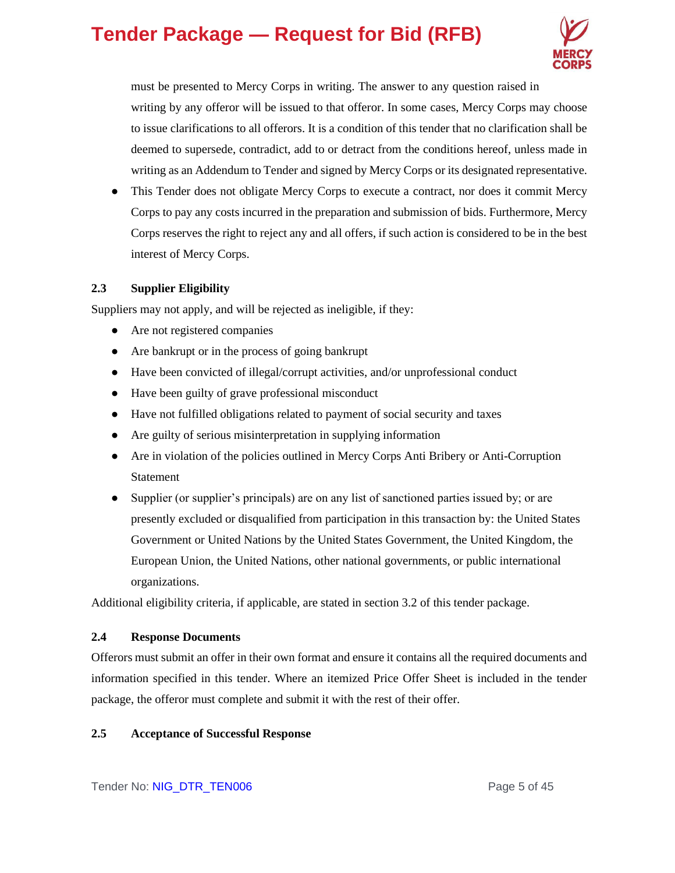

must be presented to Mercy Corps in writing. The answer to any question raised in writing by any offeror will be issued to that offeror. In some cases, Mercy Corps may choose to issue clarifications to all offerors. It is a condition of this tender that no clarification shall be deemed to supersede, contradict, add to or detract from the conditions hereof, unless made in writing as an Addendum to Tender and signed by Mercy Corps or its designated representative.

• This Tender does not obligate Mercy Corps to execute a contract, nor does it commit Mercy Corps to pay any costs incurred in the preparation and submission of bids. Furthermore, Mercy Corps reserves the right to reject any and all offers, if such action is considered to be in the best interest of Mercy Corps.

### **2.3 Supplier Eligibility**

Suppliers may not apply, and will be rejected as ineligible, if they:

- Are not registered companies
- Are bankrupt or in the process of going bankrupt
- Have been convicted of illegal/corrupt activities, and/or unprofessional conduct
- Have been guilty of grave professional misconduct
- Have not fulfilled obligations related to payment of social security and taxes
- Are guilty of serious misinterpretation in supplying information
- Are in violation of the policies outlined in Mercy Corps Anti Bribery or Anti-Corruption Statement
- Supplier (or supplier's principals) are on any list of sanctioned parties issued by; or are presently excluded or disqualified from participation in this transaction by: the United States Government or United Nations by the United States Government, the United Kingdom, the European Union, the United Nations, other national governments, or public international organizations.

Additional eligibility criteria, if applicable, are stated in section 3.2 of this tender package.

### **2.4 Response Documents**

Offerors must submit an offer in their own format and ensure it contains all the required documents and information specified in this tender. Where an itemized Price Offer Sheet is included in the tender package, the offeror must complete and submit it with the rest of their offer.

### **2.5 Acceptance of Successful Response**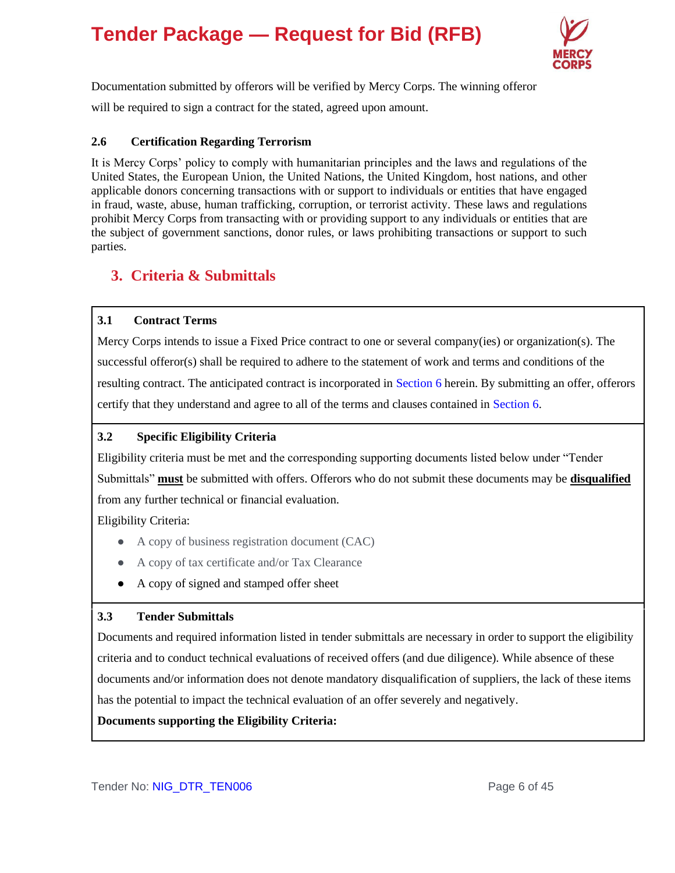

Documentation submitted by offerors will be verified by Mercy Corps. The winning offeror will be required to sign a contract for the stated, agreed upon amount.

### **2.6 Certification Regarding Terrorism**

It is Mercy Corps' policy to comply with humanitarian principles and the laws and regulations of the United States, the European Union, the United Nations, the United Kingdom, host nations, and other applicable donors concerning transactions with or support to individuals or entities that have engaged in fraud, waste, abuse, human trafficking, corruption, or terrorist activity. These laws and regulations prohibit Mercy Corps from transacting with or providing support to any individuals or entities that are the subject of government sanctions, donor rules, or laws prohibiting transactions or support to such parties.

### **3. Criteria & Submittals**

### **3.1 Contract Terms**

Mercy Corps intends to issue a Fixed Price contract to one or several company(ies) or organization(s). The successful offeror(s) shall be required to adhere to the statement of work and terms and conditions of the resulting contract. The anticipated contract is incorporated in Section 6 herein. By submitting an offer, offerors certify that they understand and agree to all of the terms and clauses contained in Section 6.

### **3.2 Specific Eligibility Criteria**

Eligibility criteria must be met and the corresponding supporting documents listed below under "Tender Submittals" **must** be submitted with offers. Offerors who do not submit these documents may be **disqualified** from any further technical or financial evaluation.

Eligibility Criteria:

- A copy of business registration document (CAC)
- A copy of tax certificate and/or Tax Clearance
- A copy of signed and stamped offer sheet

### **3.3 Tender Submittals**

Documents and required information listed in tender submittals are necessary in order to support the eligibility criteria and to conduct technical evaluations of received offers (and due diligence). While absence of these documents and/or information does not denote mandatory disqualification of suppliers, the lack of these items has the potential to impact the technical evaluation of an offer severely and negatively.

**Documents supporting the Eligibility Criteria:**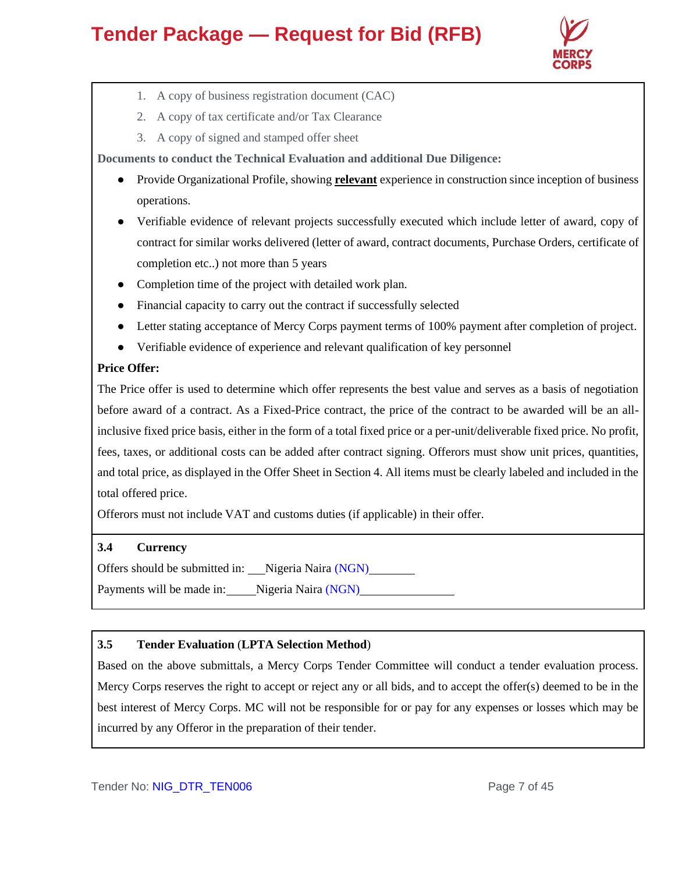

- 1. A copy of business registration document (CAC)
- 2. A copy of tax certificate and/or Tax Clearance
- 3. A copy of signed and stamped offer sheet

**Documents to conduct the Technical Evaluation and additional Due Diligence:** 

- Provide Organizational Profile, showing **relevant** experience in construction since inception of business operations.
- Verifiable evidence of relevant projects successfully executed which include letter of award, copy of contract for similar works delivered (letter of award, contract documents, Purchase Orders, certificate of completion etc..) not more than 5 years
- Completion time of the project with detailed work plan.
- Financial capacity to carry out the contract if successfully selected
- Letter stating acceptance of Mercy Corps payment terms of 100% payment after completion of project.
- Verifiable evidence of experience and relevant qualification of key personnel

### **Price Offer:**

The Price offer is used to determine which offer represents the best value and serves as a basis of negotiation before award of a contract. As a Fixed-Price contract, the price of the contract to be awarded will be an allinclusive fixed price basis, either in the form of a total fixed price or a per-unit/deliverable fixed price. No profit, fees, taxes, or additional costs can be added after contract signing. Offerors must show unit prices, quantities, and total price, as displayed in the Offer Sheet in Section 4. All items must be clearly labeled and included in the total offered price.

Offerors must not include VAT and customs duties (if applicable) in their offer.

### **3.4 Currency**

Offers should be submitted in: Nigeria Naira (NGN)

Payments will be made in: Nigeria Naira (NGN)

### **3.5 Tender Evaluation** (**LPTA Selection Method**)

Based on the above submittals, a Mercy Corps Tender Committee will conduct a tender evaluation process. Mercy Corps reserves the right to accept or reject any or all bids, and to accept the offer(s) deemed to be in the best interest of Mercy Corps. MC will not be responsible for or pay for any expenses or losses which may be incurred by any Offeror in the preparation of their tender.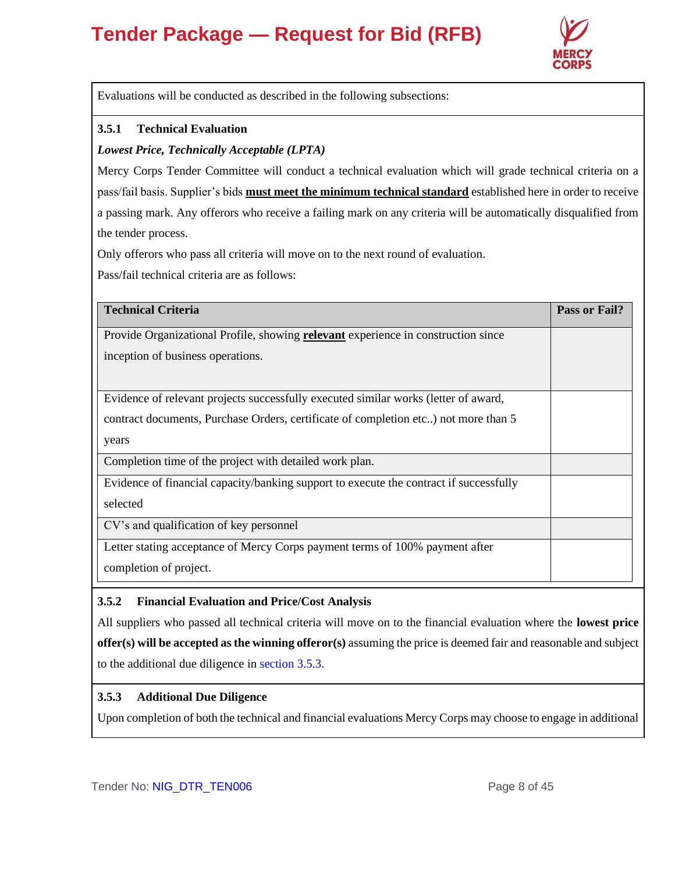

Evaluations will be conducted as described in the following subsections:

### **3.5.1 Technical Evaluation**

### *Lowest Price, Technically Acceptable (LPTA)*

Mercy Corps Tender Committee will conduct a technical evaluation which will grade technical criteria on a pass/fail basis. Supplier's bids **must meet the minimum technical standard** established here in order to receive a passing mark. Any offerors who receive a failing mark on any criteria will be automatically disqualified from the tender process.

Only offerors who pass all criteria will move on to the next round of evaluation.

Pass/fail technical criteria are as follows:

| <b>Technical Criteria</b>                                                                | Pass or Fail? |
|------------------------------------------------------------------------------------------|---------------|
| Provide Organizational Profile, showing <b>relevant</b> experience in construction since |               |
| inception of business operations.                                                        |               |
|                                                                                          |               |
| Evidence of relevant projects successfully executed similar works (letter of award,      |               |
| contract documents, Purchase Orders, certificate of completion etc) not more than 5      |               |
| years                                                                                    |               |
| Completion time of the project with detailed work plan.                                  |               |
| Evidence of financial capacity/banking support to execute the contract if successfully   |               |
| selected                                                                                 |               |
| CV's and qualification of key personnel                                                  |               |
| Letter stating acceptance of Mercy Corps payment terms of 100% payment after             |               |
| completion of project.                                                                   |               |

#### **3.5.2 Financial Evaluation and Price/Cost Analysis**

All suppliers who passed all technical criteria will move on to the financial evaluation where the **lowest price offer(s) will be accepted as the winning offeror(s)** assuming the price is deemed fair and reasonable and subject to the additional due diligence in section 3.5.3.

### **3.5.3 Additional Due Diligence**

Upon completion of both the technical and financial evaluations Mercy Corps may choose to engage in additional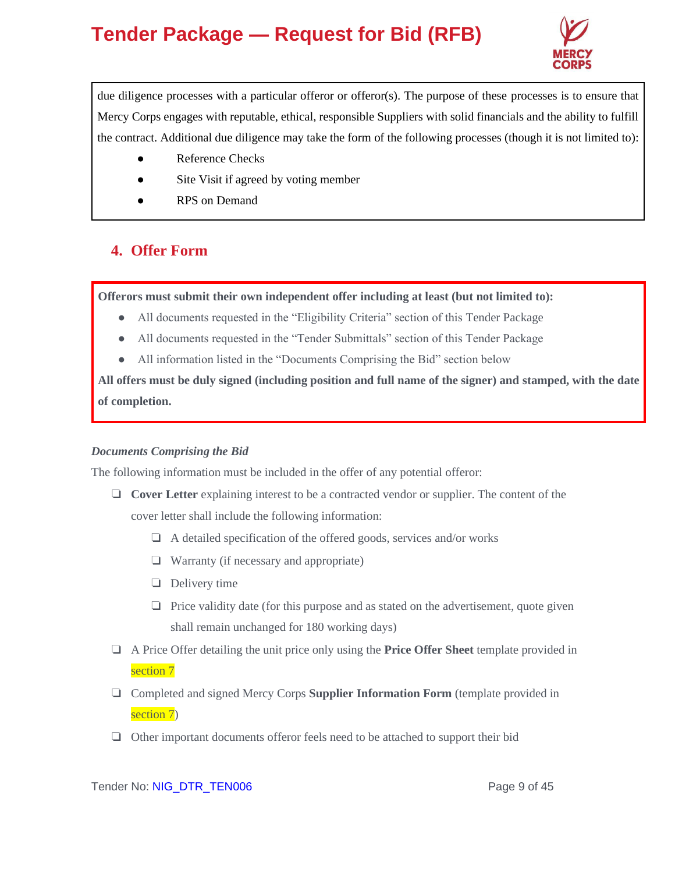

due diligence processes with a particular offeror or offeror(s). The purpose of these processes is to ensure that Mercy Corps engages with reputable, ethical, responsible Suppliers with solid financials and the ability to fulfill the contract. Additional due diligence may take the form of the following processes (though it is not limited to):

- **Reference Checks**
- Site Visit if agreed by voting member
- **RPS** on Demand

### **4. Offer Form**

**Offerors must submit their own independent offer including at least (but not limited to):**

- All documents requested in the "Eligibility Criteria" section of this Tender Package
- All documents requested in the "Tender Submittals" section of this Tender Package
- All information listed in the "Documents Comprising the Bid" section below

**All offers must be duly signed (including position and full name of the signer) and stamped, with the date of completion.**

### *Documents Comprising the Bid*

The following information must be included in the offer of any potential offeror:

- ❏ **Cover Letter** explaining interest to be a contracted vendor or supplier. The content of the cover letter shall include the following information:
	- ❏ A detailed specification of the offered goods, services and/or works
	- ❏ Warranty (if necessary and appropriate)
	- ❏ Delivery time
	- ❏ Price validity date (for this purpose and as stated on the advertisement, quote given shall remain unchanged for 180 working days)
- ❏ A Price Offer detailing the unit price only using the **Price Offer Sheet** template provided in section 7
- ❏ Completed and signed Mercy Corps **Supplier Information Form** (template provided in section 7)
- ❏ Other important documents offeror feels need to be attached to support their bid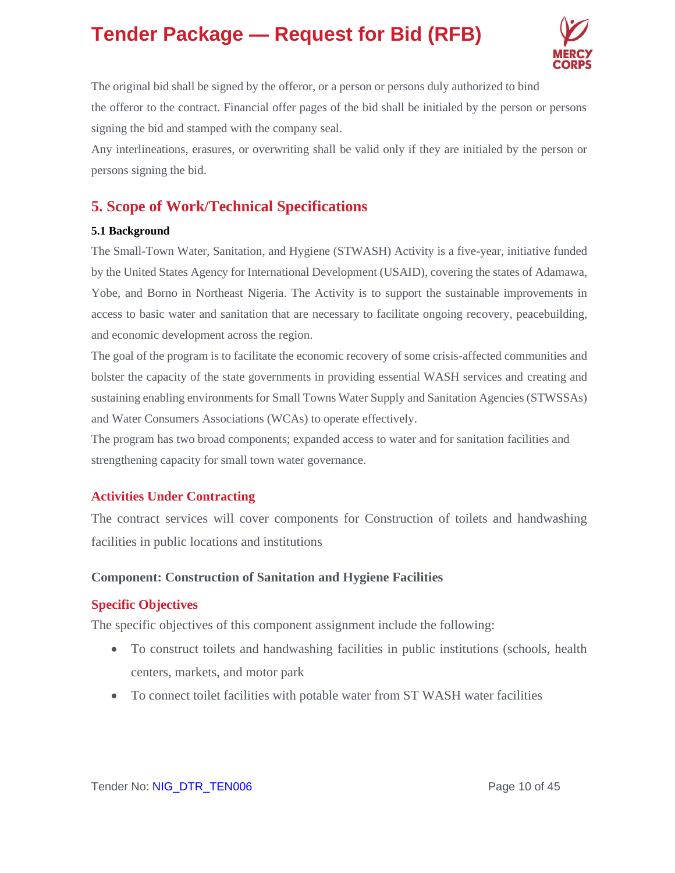

The original bid shall be signed by the offeror, or a person or persons duly authorized to bind the offeror to the contract. Financial offer pages of the bid shall be initialed by the person or persons signing the bid and stamped with the company seal.

Any interlineations, erasures, or overwriting shall be valid only if they are initialed by the person or persons signing the bid.

### **5. Scope of Work/Technical Specifications**

### **5.1 Background**

The Small-Town Water, Sanitation, and Hygiene (STWASH) Activity is a five-year, initiative funded by the United States Agency for International Development (USAID), covering the states of Adamawa, Yobe, and Borno in Northeast Nigeria. The Activity is to support the sustainable improvements in access to basic water and sanitation that are necessary to facilitate ongoing recovery, peacebuilding, and economic development across the region.

The goal of the program is to facilitate the economic recovery of some crisis-affected communities and bolster the capacity of the state governments in providing essential WASH services and creating and sustaining enabling environments for Small Towns Water Supply and Sanitation Agencies (STWSSAs) and Water Consumers Associations (WCAs) to operate effectively.

The program has two broad components; expanded access to water and for sanitation facilities and strengthening capacity for small town water governance.

### **Activities Under Contracting**

The contract services will cover components for Construction of toilets and handwashing facilities in public locations and institutions

### **Component: Construction of Sanitation and Hygiene Facilities**

### **Specific Objectives**

The specific objectives of this component assignment include the following:

- To construct toilets and handwashing facilities in public institutions (schools, health centers, markets, and motor park
- To connect toilet facilities with potable water from ST WASH water facilities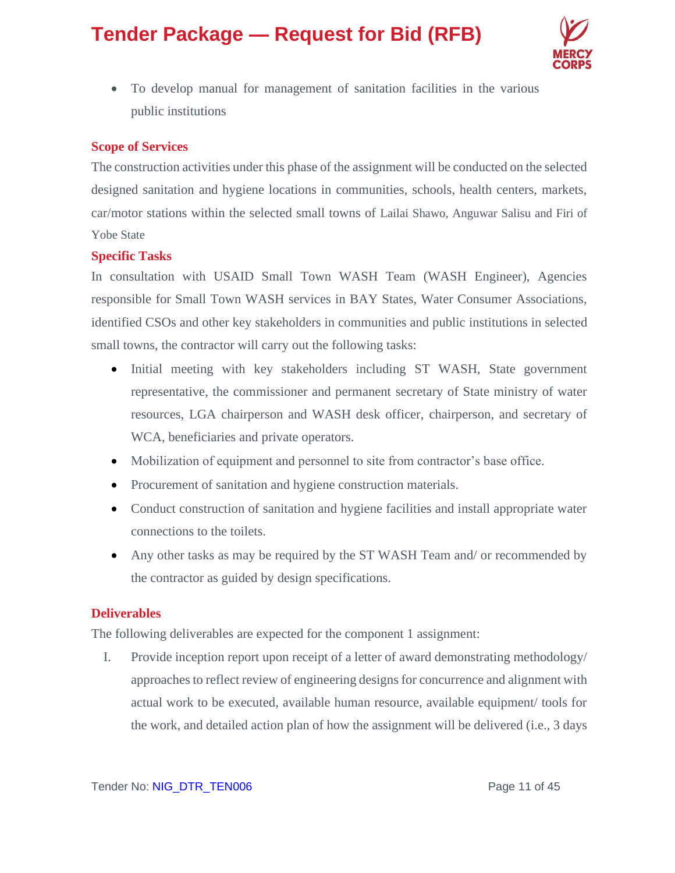

• To develop manual for management of sanitation facilities in the various public institutions

### **Scope of Services**

The construction activities under this phase of the assignment will be conducted on the selected designed sanitation and hygiene locations in communities, schools, health centers, markets, car/motor stations within the selected small towns of Lailai Shawo, Anguwar Salisu and Firi of Yobe State

### **Specific Tasks**

In consultation with USAID Small Town WASH Team (WASH Engineer), Agencies responsible for Small Town WASH services in BAY States, Water Consumer Associations, identified CSOs and other key stakeholders in communities and public institutions in selected small towns, the contractor will carry out the following tasks:

- Initial meeting with key stakeholders including ST WASH, State government representative, the commissioner and permanent secretary of State ministry of water resources, LGA chairperson and WASH desk officer, chairperson, and secretary of WCA, beneficiaries and private operators.
- Mobilization of equipment and personnel to site from contractor's base office.
- Procurement of sanitation and hygiene construction materials.
- Conduct construction of sanitation and hygiene facilities and install appropriate water connections to the toilets.
- Any other tasks as may be required by the ST WASH Team and/ or recommended by the contractor as guided by design specifications.

#### **Deliverables**

The following deliverables are expected for the component 1 assignment:

I. Provide inception report upon receipt of a letter of award demonstrating methodology/ approaches to reflect review of engineering designs for concurrence and alignment with actual work to be executed, available human resource, available equipment/ tools for the work, and detailed action plan of how the assignment will be delivered (i.e., 3 days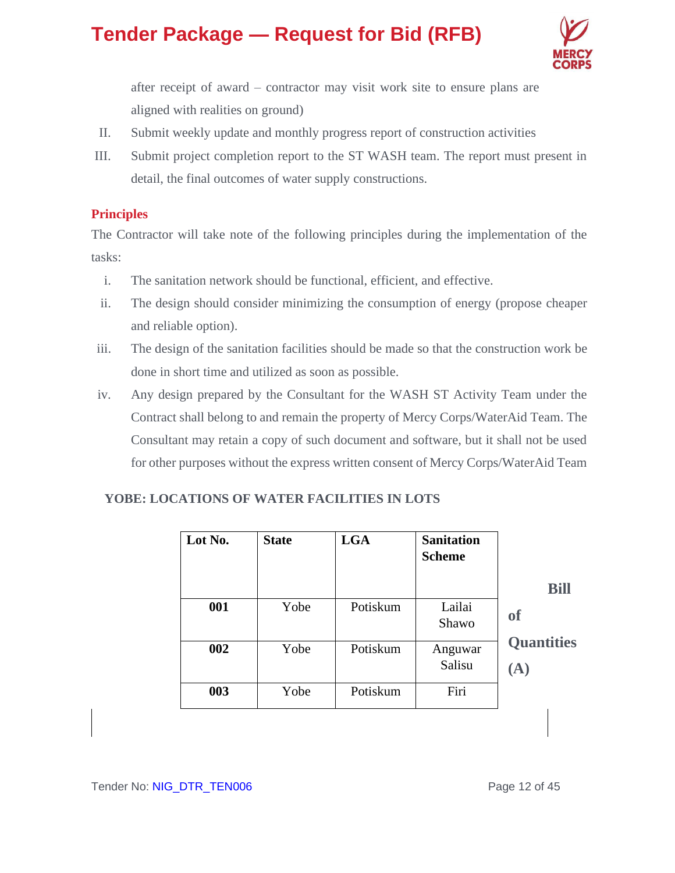

after receipt of award – contractor may visit work site to ensure plans are aligned with realities on ground)

- II. Submit weekly update and monthly progress report of construction activities
- III. Submit project completion report to the ST WASH team. The report must present in detail, the final outcomes of water supply constructions.

### **Principles**

The Contractor will take note of the following principles during the implementation of the tasks:

- i. The sanitation network should be functional, efficient, and effective.
- ii. The design should consider minimizing the consumption of energy (propose cheaper and reliable option).
- iii. The design of the sanitation facilities should be made so that the construction work be done in short time and utilized as soon as possible.
- iv. Any design prepared by the Consultant for the WASH ST Activity Team under the Contract shall belong to and remain the property of Mercy Corps/WaterAid Team. The Consultant may retain a copy of such document and software, but it shall not be used for other purposes without the express written consent of Mercy Corps/WaterAid Team

### **YOBE: LOCATIONS OF WATER FACILITIES IN LOTS**

| Lot No. | <b>State</b> | <b>LGA</b> | <b>Sanitation</b><br><b>Scheme</b> |                                  |
|---------|--------------|------------|------------------------------------|----------------------------------|
|         |              |            |                                    | <b>Bill</b>                      |
| 001     | Yobe         | Potiskum   | Lailai<br>Shawo                    | <sub>of</sub>                    |
| 002     | Yobe         | Potiskum   | Anguwar<br>Salisu                  | <b>Quantities</b><br>$({\bf A})$ |
| 003     | Yobe         | Potiskum   | Firi                               |                                  |
|         |              |            |                                    |                                  |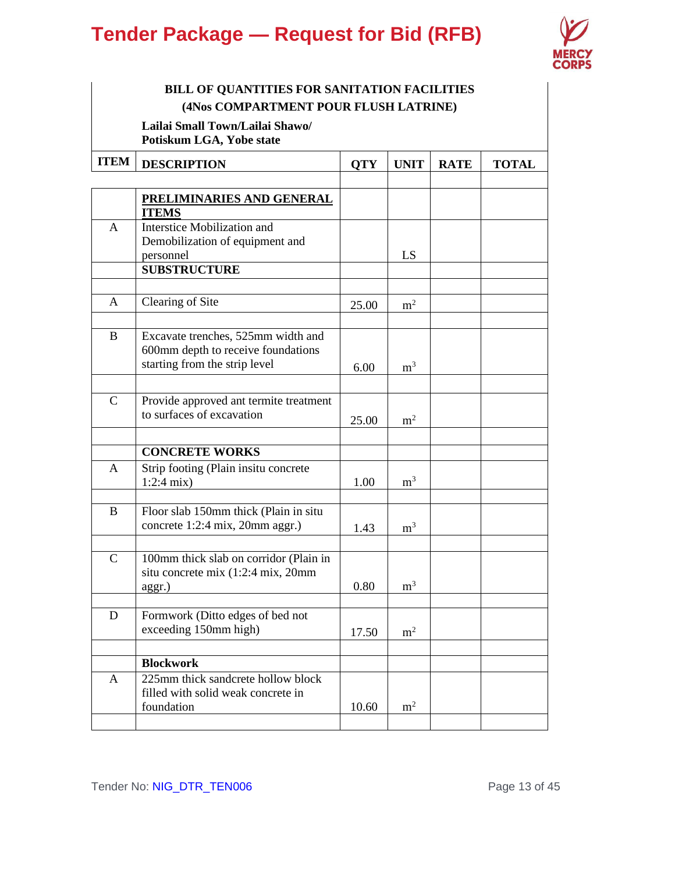

### **BILL OF QUANTITIES FOR SANITATION FACILITIES (4Nos COMPARTMENT POUR FLUSH LATRINE)**

**Lailai Small Town/Lailai Shawo/ Potiskum LGA, Yobe state**

| <b>ITEM</b>  | <b>DESCRIPTION</b>                                                       | <b>QTY</b> | <b>UNIT</b>    | <b>RATE</b> | <b>TOTAL</b> |
|--------------|--------------------------------------------------------------------------|------------|----------------|-------------|--------------|
|              | <u>PRELIMINARIES AND GENERAL</u>                                         |            |                |             |              |
|              | <b>ITEMS</b>                                                             |            |                |             |              |
| A            | Interstice Mobilization and                                              |            |                |             |              |
|              | Demobilization of equipment and                                          |            |                |             |              |
|              | personnel<br><b>SUBSTRUCTURE</b>                                         |            | LS             |             |              |
|              |                                                                          |            |                |             |              |
| A            | Clearing of Site                                                         |            |                |             |              |
|              |                                                                          | 25.00      | m <sup>2</sup> |             |              |
| B            | Excavate trenches, 525mm width and                                       |            |                |             |              |
|              | 600mm depth to receive foundations                                       |            |                |             |              |
|              | starting from the strip level                                            | 6.00       | m <sup>3</sup> |             |              |
|              |                                                                          |            |                |             |              |
| $\mathsf{C}$ | Provide approved ant termite treatment                                   |            |                |             |              |
|              | to surfaces of excavation                                                | 25.00      | m <sup>2</sup> |             |              |
|              |                                                                          |            |                |             |              |
|              | <b>CONCRETE WORKS</b>                                                    |            |                |             |              |
| A            | Strip footing (Plain insitu concrete                                     |            |                |             |              |
|              | $1:2:4$ mix)                                                             | 1.00       | m <sup>3</sup> |             |              |
|              |                                                                          |            |                |             |              |
| B            | Floor slab 150mm thick (Plain in situ<br>concrete 1:2:4 mix, 20mm aggr.) |            |                |             |              |
|              |                                                                          | 1.43       | m <sup>3</sup> |             |              |
| $\mathbf C$  | 100mm thick slab on corridor (Plain in                                   |            |                |             |              |
|              | situ concrete mix (1:2:4 mix, 20mm                                       |            |                |             |              |
|              | aggr.)                                                                   | 0.80       | m <sup>3</sup> |             |              |
|              |                                                                          |            |                |             |              |
| D            | Formwork (Ditto edges of bed not                                         |            |                |             |              |
|              | exceeding 150mm high)                                                    | 17.50      | m <sup>2</sup> |             |              |
|              | <b>Blockwork</b>                                                         |            |                |             |              |
| A            | 225mm thick sandcrete hollow block                                       |            |                |             |              |
|              | filled with solid weak concrete in                                       |            |                |             |              |
|              | foundation                                                               | 10.60      | m <sup>2</sup> |             |              |
|              |                                                                          |            |                |             |              |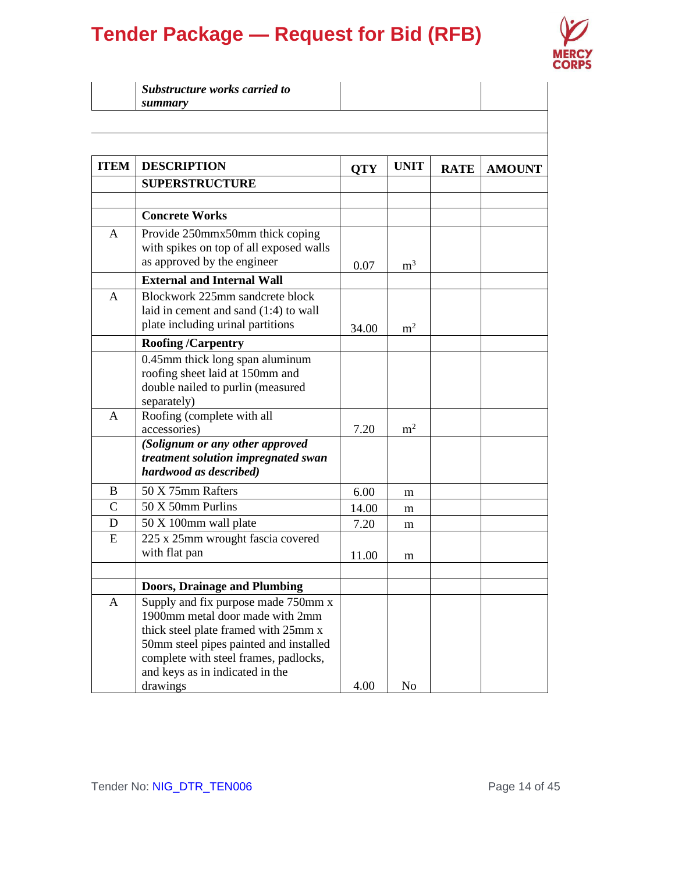

| Substructure works carried to |  |  |
|-------------------------------|--|--|
| summary                       |  |  |

| <b>ITEM</b>   | <b>DESCRIPTION</b>                                                                                                                                                                                                                               | <b>QTY</b> | <b>UNIT</b>    | <b>RATE</b> | <b>AMOUNT</b> |
|---------------|--------------------------------------------------------------------------------------------------------------------------------------------------------------------------------------------------------------------------------------------------|------------|----------------|-------------|---------------|
|               | <b>SUPERSTRUCTURE</b>                                                                                                                                                                                                                            |            |                |             |               |
|               |                                                                                                                                                                                                                                                  |            |                |             |               |
|               | <b>Concrete Works</b>                                                                                                                                                                                                                            |            |                |             |               |
| A             | Provide 250mmx50mm thick coping<br>with spikes on top of all exposed walls<br>as approved by the engineer                                                                                                                                        | 0.07       | $\rm m^3$      |             |               |
|               | <b>External and Internal Wall</b>                                                                                                                                                                                                                |            |                |             |               |
| A             | Blockwork 225mm sandcrete block<br>laid in cement and sand (1:4) to wall<br>plate including urinal partitions                                                                                                                                    | 34.00      | m <sup>2</sup> |             |               |
|               | <b>Roofing/Carpentry</b>                                                                                                                                                                                                                         |            |                |             |               |
|               | 0.45mm thick long span aluminum<br>roofing sheet laid at 150mm and<br>double nailed to purlin (measured<br>separately)                                                                                                                           |            |                |             |               |
| A             | Roofing (complete with all<br>accessories)                                                                                                                                                                                                       | 7.20       | m <sup>2</sup> |             |               |
|               | (Solignum or any other approved<br>treatment solution impregnated swan<br>hardwood as described)                                                                                                                                                 |            |                |             |               |
| B             | 50 X 75mm Rafters                                                                                                                                                                                                                                | 6.00       | m              |             |               |
| $\mathcal{C}$ | 50 X 50mm Purlins                                                                                                                                                                                                                                | 14.00      | m              |             |               |
| D             | 50 X 100mm wall plate                                                                                                                                                                                                                            | 7.20       | m              |             |               |
| ${\bf E}$     | 225 x 25mm wrought fascia covered<br>with flat pan                                                                                                                                                                                               | 11.00      | m              |             |               |
|               |                                                                                                                                                                                                                                                  |            |                |             |               |
|               | <b>Doors, Drainage and Plumbing</b>                                                                                                                                                                                                              |            |                |             |               |
| A             | Supply and fix purpose made 750mm x<br>1900mm metal door made with 2mm<br>thick steel plate framed with 25mm x<br>50mm steel pipes painted and installed<br>complete with steel frames, padlocks,<br>and keys as in indicated in the<br>drawings | 4.00       | N <sub>o</sub> |             |               |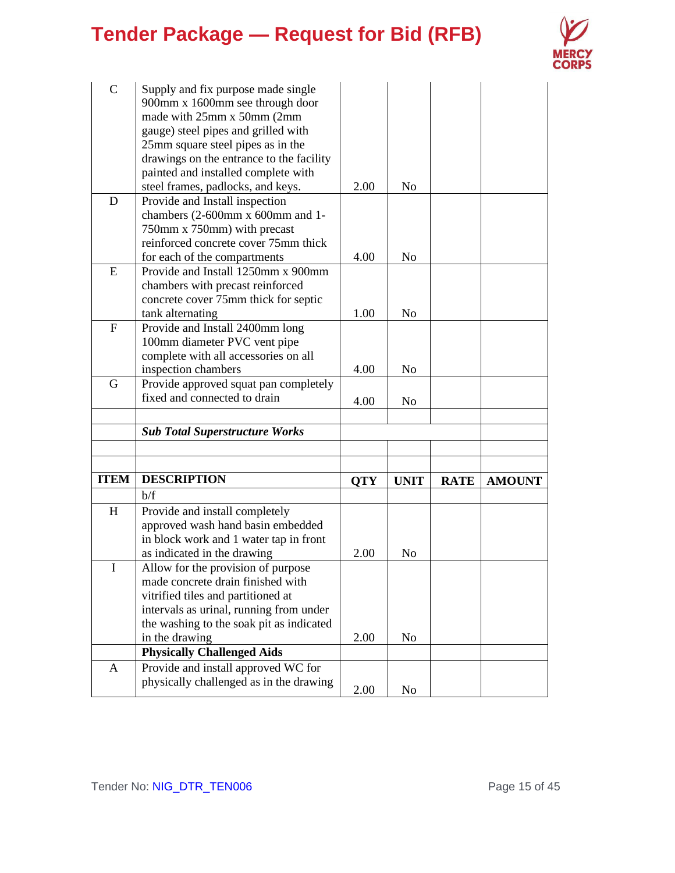

| $\mathbf C$ | Supply and fix purpose made single                              |            |                |             |               |
|-------------|-----------------------------------------------------------------|------------|----------------|-------------|---------------|
|             | 900mm x 1600mm see through door                                 |            |                |             |               |
|             | made with 25mm x 50mm (2mm                                      |            |                |             |               |
|             | gauge) steel pipes and grilled with                             |            |                |             |               |
|             | 25mm square steel pipes as in the                               |            |                |             |               |
|             | drawings on the entrance to the facility                        |            |                |             |               |
|             | painted and installed complete with                             |            |                |             |               |
|             | steel frames, padlocks, and keys.                               | 2.00       | N <sub>o</sub> |             |               |
| D           | Provide and Install inspection                                  |            |                |             |               |
|             | chambers (2-600mm x 600mm and 1-                                |            |                |             |               |
|             | 750mm x 750mm) with precast                                     |            |                |             |               |
|             | reinforced concrete cover 75mm thick                            |            |                |             |               |
|             | for each of the compartments                                    | 4.00       | N <sub>o</sub> |             |               |
| E           | Provide and Install 1250mm x 900mm                              |            |                |             |               |
|             | chambers with precast reinforced                                |            |                |             |               |
|             | concrete cover 75mm thick for septic                            | 1.00       |                |             |               |
| $\mathbf F$ | tank alternating                                                |            | N <sub>o</sub> |             |               |
|             | Provide and Install 2400mm long<br>100mm diameter PVC vent pipe |            |                |             |               |
|             | complete with all accessories on all                            |            |                |             |               |
|             | inspection chambers                                             | 4.00       | N <sub>o</sub> |             |               |
| G           | Provide approved squat pan completely                           |            |                |             |               |
|             | fixed and connected to drain                                    |            |                |             |               |
|             |                                                                 | 4.00       | N <sub>0</sub> |             |               |
|             | <b>Sub Total Superstructure Works</b>                           |            |                |             |               |
|             |                                                                 |            |                |             |               |
|             |                                                                 |            |                |             |               |
| <b>ITEM</b> | <b>DESCRIPTION</b>                                              | <b>QTY</b> | <b>UNIT</b>    | <b>RATE</b> | <b>AMOUNT</b> |
|             | b/f                                                             |            |                |             |               |
| H           | Provide and install completely                                  |            |                |             |               |
|             | approved wash hand basin embedded                               |            |                |             |               |
|             | in block work and 1 water tap in front                          |            |                |             |               |
|             | as indicated in the drawing                                     | 2.00       | N <sub>o</sub> |             |               |
|             | Allow for the provision of purpose                              |            |                |             |               |
|             | made concrete drain finished with                               |            |                |             |               |
|             | vitrified tiles and partitioned at                              |            |                |             |               |
|             | intervals as urinal, running from under                         |            |                |             |               |
|             | the washing to the soak pit as indicated                        |            |                |             |               |
|             | in the drawing                                                  | 2.00       | N <sub>o</sub> |             |               |
|             | <b>Physically Challenged Aids</b>                               |            |                |             |               |
| A           | Provide and install approved WC for                             |            |                |             |               |
|             | physically challenged as in the drawing                         | 2.00       | N <sub>0</sub> |             |               |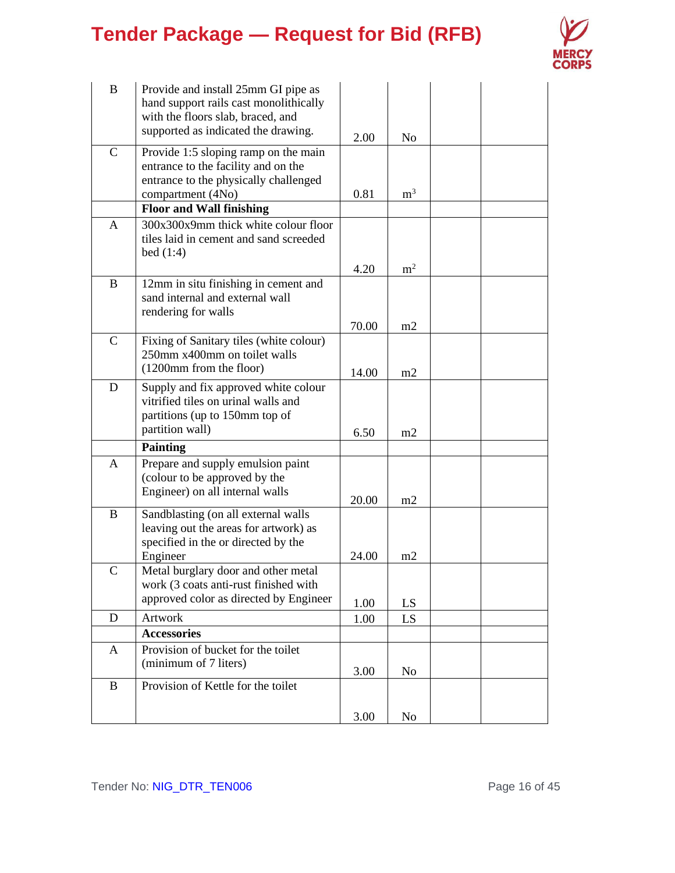

| B            | Provide and install 25mm GI pipe as<br>hand support rails cast monolithically<br>with the floors slab, braced, and   |       |                |  |
|--------------|----------------------------------------------------------------------------------------------------------------------|-------|----------------|--|
|              | supported as indicated the drawing.                                                                                  | 2.00  | N <sub>o</sub> |  |
| $\mathsf{C}$ | Provide 1:5 sloping ramp on the main<br>entrance to the facility and on the<br>entrance to the physically challenged |       |                |  |
|              | compartment (4No)                                                                                                    | 0.81  | m <sup>3</sup> |  |
|              | <b>Floor and Wall finishing</b>                                                                                      |       |                |  |
| A            | 300x300x9mm thick white colour floor<br>tiles laid in cement and sand screeded<br>bed(1:4)                           |       |                |  |
|              |                                                                                                                      | 4.20  | m <sup>2</sup> |  |
| B            | 12mm in situ finishing in cement and<br>sand internal and external wall<br>rendering for walls                       |       |                |  |
|              |                                                                                                                      | 70.00 | m2             |  |
| $\mathbf C$  | Fixing of Sanitary tiles (white colour)<br>250mm x400mm on toilet walls<br>(1200mm from the floor)                   | 14.00 | m2             |  |
| D            | Supply and fix approved white colour                                                                                 |       |                |  |
|              | vitrified tiles on urinal walls and<br>partitions (up to 150mm top of                                                |       |                |  |
|              | partition wall)                                                                                                      | 6.50  | m2             |  |
|              | <b>Painting</b>                                                                                                      |       |                |  |
| A            | Prepare and supply emulsion paint<br>(colour to be approved by the                                                   |       |                |  |
|              | Engineer) on all internal walls                                                                                      | 20.00 | m2             |  |
| $\bf{B}$     | Sandblasting (on all external walls<br>leaving out the areas for artwork) as                                         |       |                |  |
|              | specified in the or directed by the                                                                                  |       |                |  |
|              | Engineer                                                                                                             | 24.00 | m2             |  |
| $\mathsf{C}$ | Metal burglary door and other metal                                                                                  |       |                |  |
|              | work (3 coats anti-rust finished with                                                                                |       |                |  |
|              | approved color as directed by Engineer                                                                               | 1.00  | LS             |  |
| D            | Artwork                                                                                                              | 1.00  | LS             |  |
|              | <b>Accessories</b>                                                                                                   |       |                |  |
| A            | Provision of bucket for the toilet<br>(minimum of 7 liters)                                                          | 3.00  | N <sub>0</sub> |  |
| $\bf{B}$     | Provision of Kettle for the toilet                                                                                   |       |                |  |
|              |                                                                                                                      | 3.00  | N <sub>o</sub> |  |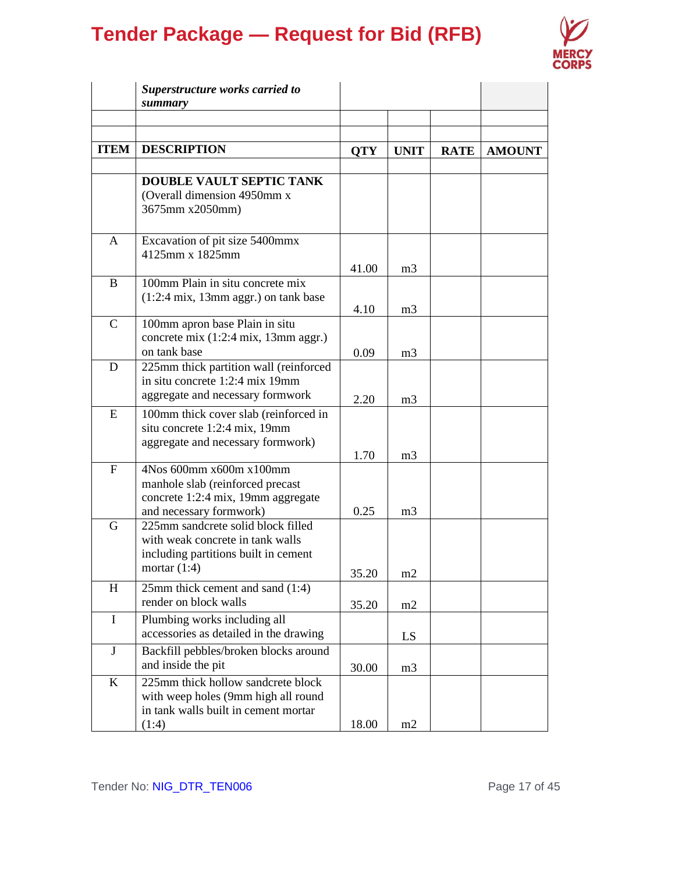

|              | Superstructure works carried to<br>summary                                                                                       |              |                                  |             |               |
|--------------|----------------------------------------------------------------------------------------------------------------------------------|--------------|----------------------------------|-------------|---------------|
|              |                                                                                                                                  |              |                                  |             |               |
| <b>ITEM</b>  | <b>DESCRIPTION</b>                                                                                                               | <b>QTY</b>   | <b>UNIT</b>                      | <b>RATE</b> | <b>AMOUNT</b> |
|              | <b>DOUBLE VAULT SEPTIC TANK</b><br>(Overall dimension 4950mm x<br>3675mm x2050mm)                                                |              |                                  |             |               |
| A            | Excavation of pit size 5400mmx<br>4125mm x 1825mm                                                                                | 41.00        | m <sub>3</sub>                   |             |               |
| B            | 100mm Plain in situ concrete mix<br>$(1:2:4 \text{ mix}, 13 \text{ mm } \text{aggr.})$ on tank base                              | 4.10         | m <sub>3</sub>                   |             |               |
| $\mathsf{C}$ | 100mm apron base Plain in situ<br>concrete mix (1:2:4 mix, 13mm aggr.)<br>on tank base                                           | 0.09         | m <sub>3</sub>                   |             |               |
| D            | 225mm thick partition wall (reinforced<br>in situ concrete 1:2:4 mix 19mm<br>aggregate and necessary formwork                    | 2.20         | m <sub>3</sub>                   |             |               |
| E            | 100mm thick cover slab (reinforced in<br>situ concrete 1:2:4 mix, 19mm<br>aggregate and necessary formwork)                      |              |                                  |             |               |
| $\mathbf F$  | 4Nos 600mm x600m x100mm<br>manhole slab (reinforced precast<br>concrete 1:2:4 mix, 19mm aggregate<br>and necessary formwork)     | 1.70<br>0.25 | m <sub>3</sub><br>m <sub>3</sub> |             |               |
| G            | 225mm sandcrete solid block filled<br>with weak concrete in tank walls<br>including partitions built in cement<br>mortar $(1:4)$ | 35.20        | m2                               |             |               |
| H            | 25mm thick cement and sand (1:4)<br>render on block walls                                                                        | 35.20        | m2                               |             |               |
| $\mathbf I$  | Plumbing works including all<br>accessories as detailed in the drawing                                                           |              | LS                               |             |               |
| J            | Backfill pebbles/broken blocks around<br>and inside the pit                                                                      | 30.00        | m <sub>3</sub>                   |             |               |
| K            | 225mm thick hollow sandcrete block<br>with weep holes (9mm high all round<br>in tank walls built in cement mortar<br>(1:4)       | 18.00        | m2                               |             |               |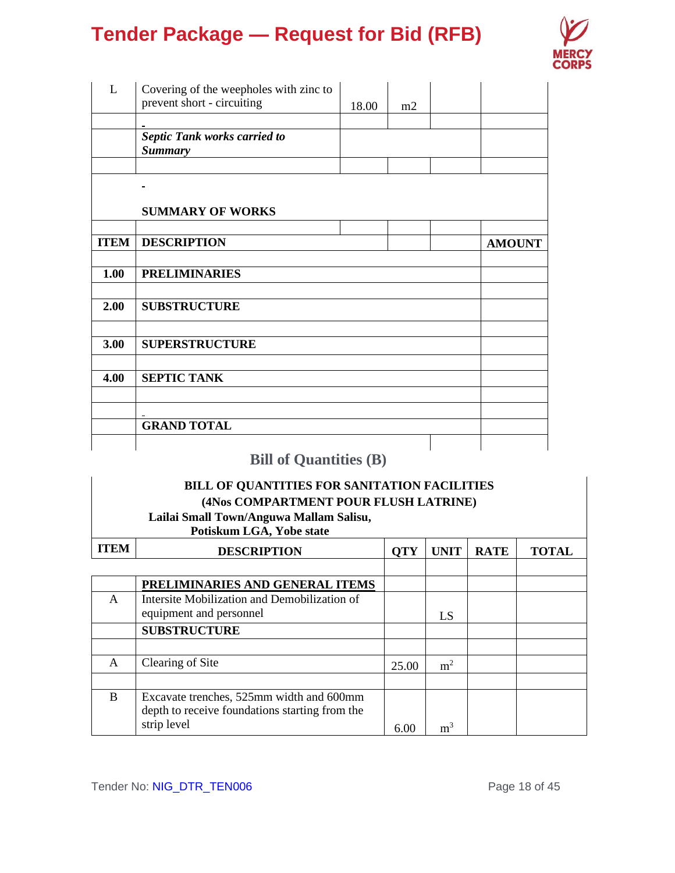

| L           | Covering of the weepholes with zinc to<br>prevent short - circuiting |       |    |               |
|-------------|----------------------------------------------------------------------|-------|----|---------------|
|             |                                                                      | 18.00 | m2 |               |
|             | <b>Septic Tank works carried to</b><br><b>Summary</b>                |       |    |               |
|             |                                                                      |       |    |               |
|             |                                                                      |       |    |               |
|             | <b>SUMMARY OF WORKS</b>                                              |       |    |               |
|             |                                                                      |       |    |               |
| <b>ITEM</b> | <b>DESCRIPTION</b>                                                   |       |    | <b>AMOUNT</b> |
|             |                                                                      |       |    |               |
| 1.00        | <b>PRELIMINARIES</b>                                                 |       |    |               |
|             |                                                                      |       |    |               |
| 2.00        | <b>SUBSTRUCTURE</b>                                                  |       |    |               |
|             |                                                                      |       |    |               |
| 3.00        | <b>SUPERSTRUCTURE</b>                                                |       |    |               |
|             |                                                                      |       |    |               |
| 4.00        | <b>SEPTIC TANK</b>                                                   |       |    |               |
|             |                                                                      |       |    |               |
|             |                                                                      |       |    |               |
|             | <b>GRAND TOTAL</b>                                                   |       |    |               |
|             |                                                                      |       |    |               |

### **Bill of Quantities (B)**

### **BILL OF QUANTITIES FOR SANITATION FACILITIES (4Nos COMPARTMENT POUR FLUSH LATRINE) Lailai Small Town/Anguwa Mallam Salisu,**

**Potiskum LGA, Yobe state**

| <b>ITEM</b> | <b>DESCRIPTION</b>                                                                                        | <b>QTY</b> | <b>UNIT</b>    | <b>RATE</b> | <b>TOTAL</b> |
|-------------|-----------------------------------------------------------------------------------------------------------|------------|----------------|-------------|--------------|
|             |                                                                                                           |            |                |             |              |
|             | PRELIMINARIES AND GENERAL ITEMS                                                                           |            |                |             |              |
| A           | Intersite Mobilization and Demobilization of                                                              |            |                |             |              |
|             | equipment and personnel                                                                                   |            | LS             |             |              |
|             | <b>SUBSTRUCTURE</b>                                                                                       |            |                |             |              |
|             |                                                                                                           |            |                |             |              |
| A           | Clearing of Site                                                                                          | 25.00      | m <sup>2</sup> |             |              |
|             |                                                                                                           |            |                |             |              |
| B           | Excavate trenches, 525mm width and 600mm<br>depth to receive foundations starting from the<br>strip level | 6.00       | m <sup>3</sup> |             |              |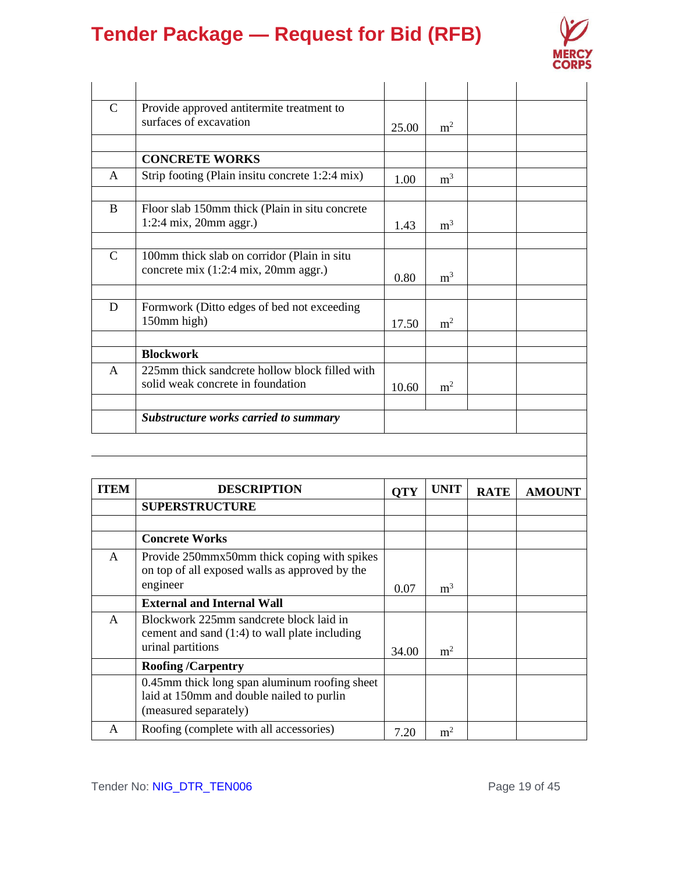

| $\mathcal{C}$ | Provide approved antitermite treatment to<br>surfaces of excavation                 | 25.00 | m <sup>2</sup> |  |
|---------------|-------------------------------------------------------------------------------------|-------|----------------|--|
|               |                                                                                     |       |                |  |
|               | <b>CONCRETE WORKS</b>                                                               |       |                |  |
| A             | Strip footing (Plain insitu concrete 1:2:4 mix)                                     | 1.00  | m <sup>3</sup> |  |
| B             | Floor slab 150mm thick (Plain in situ concrete<br>$1:2:4$ mix, 20mm aggr.)          | 1.43  | m <sup>3</sup> |  |
|               |                                                                                     |       |                |  |
| $\mathcal{C}$ | 100mm thick slab on corridor (Plain in situ<br>concrete mix (1:2:4 mix, 20mm aggr.) | 0.80  | m <sup>3</sup> |  |
|               |                                                                                     |       |                |  |
| D             | Formwork (Ditto edges of bed not exceeding<br>150mm high)                           | 17.50 | m <sup>2</sup> |  |
|               | <b>Blockwork</b>                                                                    |       |                |  |
| $\mathsf{A}$  | 225mm thick sandcrete hollow block filled with<br>solid weak concrete in foundation | 10.60 | m <sup>2</sup> |  |
|               | <b>Substructure works carried to summary</b>                                        |       |                |  |
|               |                                                                                     |       |                |  |

| <b>ITEM</b> | <b>DESCRIPTION</b>                                                                                                  | <b>OTY</b> | <b>UNIT</b>    | <b>RATE</b> | <b>AMOUNT</b> |
|-------------|---------------------------------------------------------------------------------------------------------------------|------------|----------------|-------------|---------------|
|             | <b>SUPERSTRUCTURE</b>                                                                                               |            |                |             |               |
|             |                                                                                                                     |            |                |             |               |
|             | <b>Concrete Works</b>                                                                                               |            |                |             |               |
| A           | Provide 250mmx50mm thick coping with spikes<br>on top of all exposed walls as approved by the<br>engineer           | 0.07       | m <sup>3</sup> |             |               |
|             | <b>External and Internal Wall</b>                                                                                   |            |                |             |               |
| A           | Blockwork 225mm sandcrete block laid in<br>cement and sand (1:4) to wall plate including<br>urinal partitions       | 34.00      | m <sup>2</sup> |             |               |
|             | <b>Roofing/Carpentry</b>                                                                                            |            |                |             |               |
|             | 0.45mm thick long span aluminum roofing sheet<br>laid at 150mm and double nailed to purlin<br>(measured separately) |            |                |             |               |
| A           | Roofing (complete with all accessories)                                                                             | 7.20       | m <sup>2</sup> |             |               |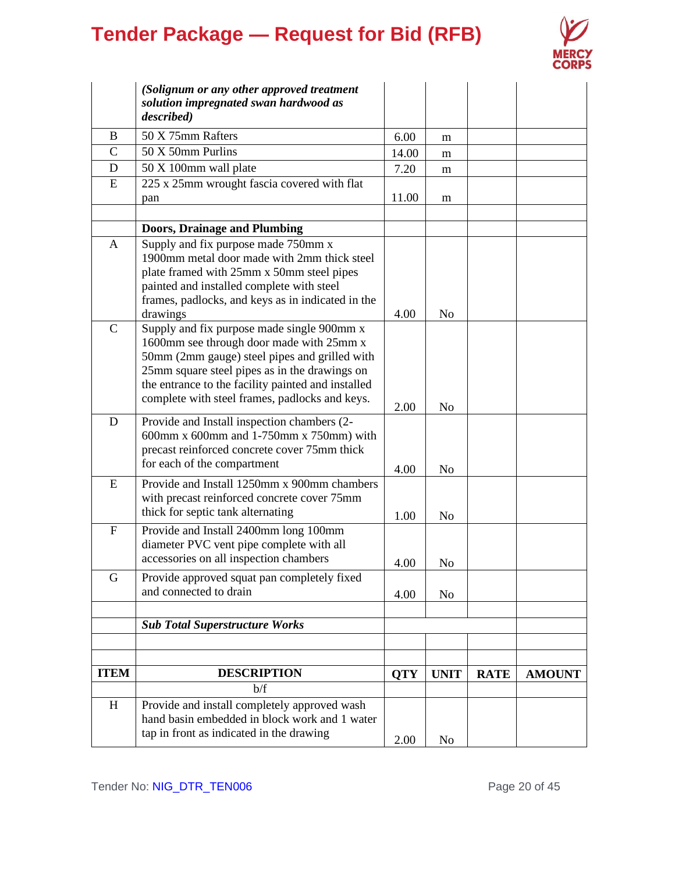

|                           | (Solignum or any other approved treatment<br>solution impregnated swan hardwood as<br>described) |            |                |             |               |
|---------------------------|--------------------------------------------------------------------------------------------------|------------|----------------|-------------|---------------|
| B                         | 50 X 75mm Rafters                                                                                | 6.00       | m              |             |               |
| $\mathcal{C}$             | 50 X 50mm Purlins                                                                                | 14.00      | m              |             |               |
| D                         | 50 X 100mm wall plate                                                                            | 7.20       | m              |             |               |
| E                         | 225 x 25mm wrought fascia covered with flat                                                      |            |                |             |               |
|                           | pan                                                                                              | 11.00      | m              |             |               |
|                           |                                                                                                  |            |                |             |               |
|                           | <b>Doors, Drainage and Plumbing</b>                                                              |            |                |             |               |
| A                         | Supply and fix purpose made 750mm x                                                              |            |                |             |               |
|                           | 1900mm metal door made with 2mm thick steel                                                      |            |                |             |               |
|                           | plate framed with 25mm x 50mm steel pipes                                                        |            |                |             |               |
|                           | painted and installed complete with steel                                                        |            |                |             |               |
|                           | frames, padlocks, and keys as in indicated in the<br>drawings                                    | 4.00       | N <sub>o</sub> |             |               |
| $\mathbf C$               | Supply and fix purpose made single 900mm x                                                       |            |                |             |               |
|                           | 1600mm see through door made with 25mm x                                                         |            |                |             |               |
|                           | 50mm (2mm gauge) steel pipes and grilled with                                                    |            |                |             |               |
|                           | 25mm square steel pipes as in the drawings on                                                    |            |                |             |               |
|                           | the entrance to the facility painted and installed                                               |            |                |             |               |
|                           | complete with steel frames, padlocks and keys.                                                   |            |                |             |               |
|                           |                                                                                                  | 2.00       | No             |             |               |
| D                         | Provide and Install inspection chambers (2-<br>600mm x 600mm and 1-750mm x 750mm) with           |            |                |             |               |
|                           | precast reinforced concrete cover 75mm thick                                                     |            |                |             |               |
|                           | for each of the compartment                                                                      |            |                |             |               |
|                           |                                                                                                  | 4.00       | No             |             |               |
| E                         | Provide and Install 1250mm x 900mm chambers                                                      |            |                |             |               |
|                           | with precast reinforced concrete cover 75mm<br>thick for septic tank alternating                 |            |                |             |               |
|                           |                                                                                                  | 1.00       | N <sub>0</sub> |             |               |
| $\boldsymbol{\mathrm{F}}$ | Provide and Install 2400mm long 100mm                                                            |            |                |             |               |
|                           | diameter PVC vent pipe complete with all                                                         |            |                |             |               |
|                           | accessories on all inspection chambers                                                           | 4.00       | No             |             |               |
| G                         | Provide approved squat pan completely fixed                                                      |            |                |             |               |
|                           | and connected to drain                                                                           | 4.00       | No             |             |               |
|                           |                                                                                                  |            |                |             |               |
|                           | <b>Sub Total Superstructure Works</b>                                                            |            |                |             |               |
|                           |                                                                                                  |            |                |             |               |
|                           |                                                                                                  |            |                |             |               |
| <b>ITEM</b>               | <b>DESCRIPTION</b>                                                                               | <b>QTY</b> | <b>UNIT</b>    | <b>RATE</b> | <b>AMOUNT</b> |
|                           | b/f                                                                                              |            |                |             |               |
| H                         | Provide and install completely approved wash                                                     |            |                |             |               |
|                           | hand basin embedded in block work and 1 water                                                    |            |                |             |               |
|                           | tap in front as indicated in the drawing                                                         | 2.00       | N <sub>0</sub> |             |               |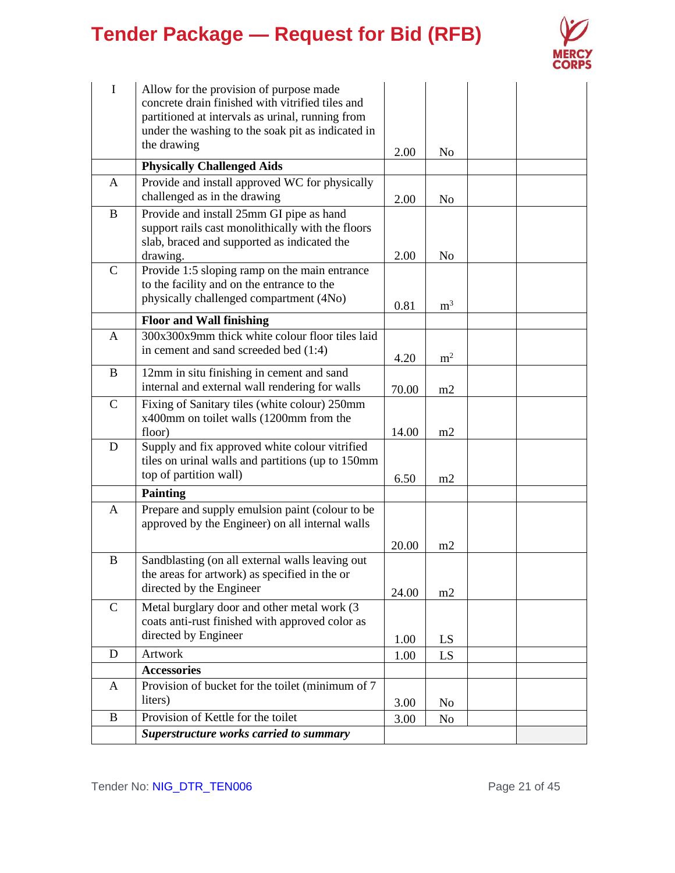

| I            | Allow for the provision of purpose made<br>concrete drain finished with vitrified tiles and<br>partitioned at intervals as urinal, running from<br>under the washing to the soak pit as indicated in |       |                |  |
|--------------|------------------------------------------------------------------------------------------------------------------------------------------------------------------------------------------------------|-------|----------------|--|
|              | the drawing                                                                                                                                                                                          | 2.00  | No             |  |
|              | <b>Physically Challenged Aids</b>                                                                                                                                                                    |       |                |  |
| A            | Provide and install approved WC for physically                                                                                                                                                       |       |                |  |
|              | challenged as in the drawing                                                                                                                                                                         | 2.00  | N <sub>0</sub> |  |
| B            | Provide and install 25mm GI pipe as hand<br>support rails cast monolithically with the floors<br>slab, braced and supported as indicated the                                                         |       |                |  |
|              | drawing.                                                                                                                                                                                             | 2.00  | N <sub>0</sub> |  |
| $\mathsf{C}$ | Provide 1:5 sloping ramp on the main entrance                                                                                                                                                        |       |                |  |
|              | to the facility and on the entrance to the<br>physically challenged compartment (4No)                                                                                                                | 0.81  | m <sup>3</sup> |  |
|              | <b>Floor and Wall finishing</b>                                                                                                                                                                      |       |                |  |
| $\mathbf{A}$ | 300x300x9mm thick white colour floor tiles laid                                                                                                                                                      |       |                |  |
|              | in cement and sand screeded bed (1:4)                                                                                                                                                                | 4.20  | m <sup>2</sup> |  |
| $\bf{B}$     | 12mm in situ finishing in cement and sand<br>internal and external wall rendering for walls                                                                                                          | 70.00 | m2             |  |
| $\mathbf C$  | Fixing of Sanitary tiles (white colour) 250mm<br>x400mm on toilet walls (1200mm from the<br>floor)                                                                                                   | 14.00 | m2             |  |
| D            | Supply and fix approved white colour vitrified<br>tiles on urinal walls and partitions (up to 150mm<br>top of partition wall)                                                                        | 6.50  | m2             |  |
|              | <b>Painting</b>                                                                                                                                                                                      |       |                |  |
| A            | Prepare and supply emulsion paint (colour to be<br>approved by the Engineer) on all internal walls                                                                                                   |       |                |  |
|              |                                                                                                                                                                                                      | 20.00 | m2             |  |
| B            | Sandblasting (on all external walls leaving out<br>the areas for artwork) as specified in the or<br>directed by the Engineer                                                                         | 24.00 | m2             |  |
| $\mathbf C$  | Metal burglary door and other metal work (3<br>coats anti-rust finished with approved color as<br>directed by Engineer                                                                               | 1.00  | LS             |  |
| D            | Artwork                                                                                                                                                                                              | 1.00  | LS             |  |
|              | <b>Accessories</b>                                                                                                                                                                                   |       |                |  |
| A            | Provision of bucket for the toilet (minimum of 7                                                                                                                                                     |       |                |  |
|              | liters)                                                                                                                                                                                              | 3.00  | No             |  |
| B            | Provision of Kettle for the toilet<br><b>Superstructure works carried to summary</b>                                                                                                                 | 3.00  | No             |  |
|              |                                                                                                                                                                                                      |       |                |  |

Tender No: NIG\_DTR\_TEN006 extended the page 21 of 45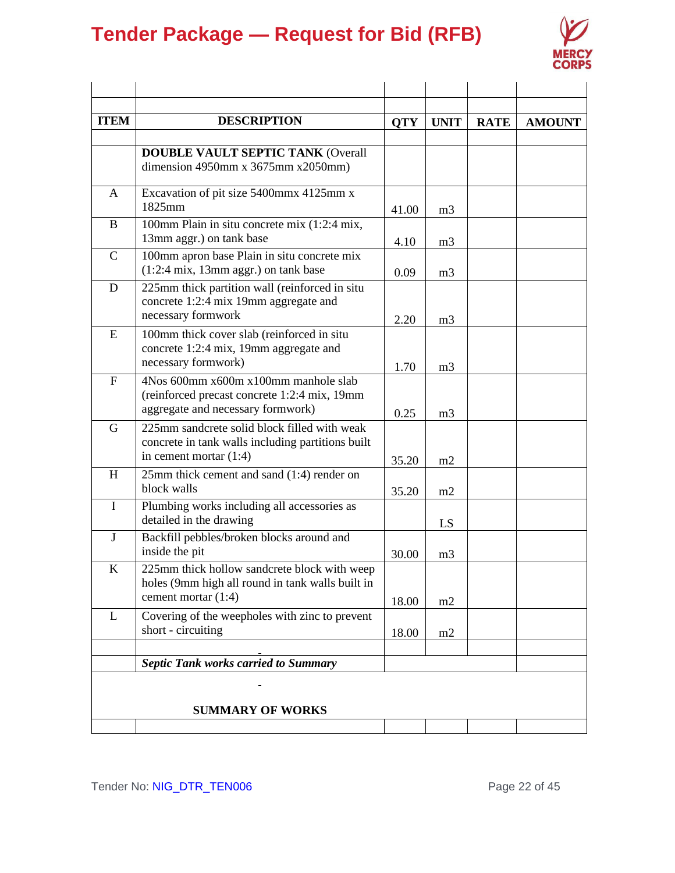

| <b>ITEM</b> | <b>DESCRIPTION</b>                                                                                                            | <b>QTY</b> | <b>UNIT</b>    | <b>RATE</b> | <b>AMOUNT</b> |
|-------------|-------------------------------------------------------------------------------------------------------------------------------|------------|----------------|-------------|---------------|
|             | <b>DOUBLE VAULT SEPTIC TANK (Overall</b><br>dimension 4950mm x 3675mm x 2050mm)                                               |            |                |             |               |
| A           | Excavation of pit size 5400mmx 4125mm x<br>1825mm                                                                             | 41.00      | m <sub>3</sub> |             |               |
| B           | 100mm Plain in situ concrete mix (1:2:4 mix,<br>13mm aggr.) on tank base                                                      | 4.10       | m <sub>3</sub> |             |               |
| $\mathbf C$ | 100mm apron base Plain in situ concrete mix<br>$(1:2:4 \text{ mix}, 13 \text{ mm } \text{aggr.})$ on tank base                | 0.09       | m <sub>3</sub> |             |               |
| D           | 225mm thick partition wall (reinforced in situ<br>concrete 1:2:4 mix 19mm aggregate and<br>necessary formwork                 | 2.20       | m <sub>3</sub> |             |               |
| E           | 100mm thick cover slab (reinforced in situ<br>concrete 1:2:4 mix, 19mm aggregate and<br>necessary formwork)                   | 1.70       | m <sub>3</sub> |             |               |
| ${\bf F}$   | 4Nos 600mm x600m x100mm manhole slab<br>(reinforced precast concrete 1:2:4 mix, 19mm<br>aggregate and necessary formwork)     | 0.25       | m <sub>3</sub> |             |               |
| G           | 225mm sandcrete solid block filled with weak<br>concrete in tank walls including partitions built<br>in cement mortar $(1:4)$ | 35.20      | m2             |             |               |
| H           | 25mm thick cement and sand (1:4) render on<br>block walls                                                                     | 35.20      | m2             |             |               |
| $\bf{I}$    | Plumbing works including all accessories as<br>detailed in the drawing                                                        |            | LS             |             |               |
| J           | Backfill pebbles/broken blocks around and<br>inside the pit                                                                   | 30.00      | m <sub>3</sub> |             |               |
| K           | 225mm thick hollow sandcrete block with weep<br>holes (9mm high all round in tank walls built in<br>cement mortar (1:4)       | 18.00      | m2             |             |               |
| L           | Covering of the weepholes with zinc to prevent<br>short - circuiting                                                          | 18.00      | m2             |             |               |
|             | <b>Septic Tank works carried to Summary</b>                                                                                   |            |                |             |               |
|             |                                                                                                                               |            |                |             |               |
|             | <b>SUMMARY OF WORKS</b>                                                                                                       |            |                |             |               |
|             |                                                                                                                               |            |                |             |               |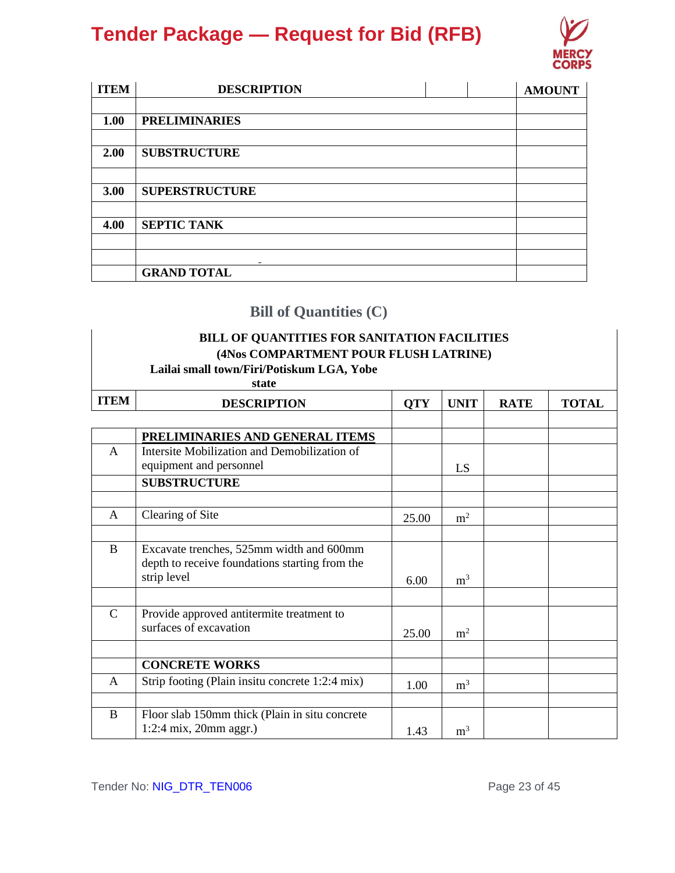

| <b>ITEM</b> | <b>DESCRIPTION</b>    |  | <b>AMOUNT</b> |
|-------------|-----------------------|--|---------------|
|             |                       |  |               |
| 1.00        | <b>PRELIMINARIES</b>  |  |               |
|             |                       |  |               |
| 2.00        | <b>SUBSTRUCTURE</b>   |  |               |
|             |                       |  |               |
| 3.00        | <b>SUPERSTRUCTURE</b> |  |               |
|             |                       |  |               |
| 4.00        | <b>SEPTIC TANK</b>    |  |               |
|             |                       |  |               |
|             | -                     |  |               |
|             | <b>GRAND TOTAL</b>    |  |               |

### **Bill of Quantities (C)**

### **BILL OF QUANTITIES FOR SANITATION FACILITIES (4Nos COMPARTMENT POUR FLUSH LATRINE)**

| <b>ITEM</b>   | <b>DESCRIPTION</b>                                                                                        | <b>QTY</b> | <b>UNIT</b>    | <b>RATE</b> | <b>TOTAL</b> |
|---------------|-----------------------------------------------------------------------------------------------------------|------------|----------------|-------------|--------------|
|               | PRELIMINARIES AND GENERAL ITEMS                                                                           |            |                |             |              |
| $\mathsf{A}$  | Intersite Mobilization and Demobilization of<br>equipment and personnel                                   |            | <b>LS</b>      |             |              |
|               | <b>SUBSTRUCTURE</b>                                                                                       |            |                |             |              |
| $\mathsf{A}$  | Clearing of Site                                                                                          | 25.00      | m <sup>2</sup> |             |              |
| $\mathbf{B}$  | Excavate trenches, 525mm width and 600mm<br>depth to receive foundations starting from the<br>strip level | 6.00       | m <sup>3</sup> |             |              |
| $\mathcal{C}$ | Provide approved antitermite treatment to<br>surfaces of excavation                                       | 25.00      | m <sup>2</sup> |             |              |
|               | <b>CONCRETE WORKS</b>                                                                                     |            |                |             |              |
| A             | Strip footing (Plain insitu concrete 1:2:4 mix)                                                           | 1.00       | m <sup>3</sup> |             |              |
| $\bf{B}$      | Floor slab 150mm thick (Plain in situ concrete<br>$1:2:4$ mix, 20mm aggr.)                                | 1.43       | m <sup>3</sup> |             |              |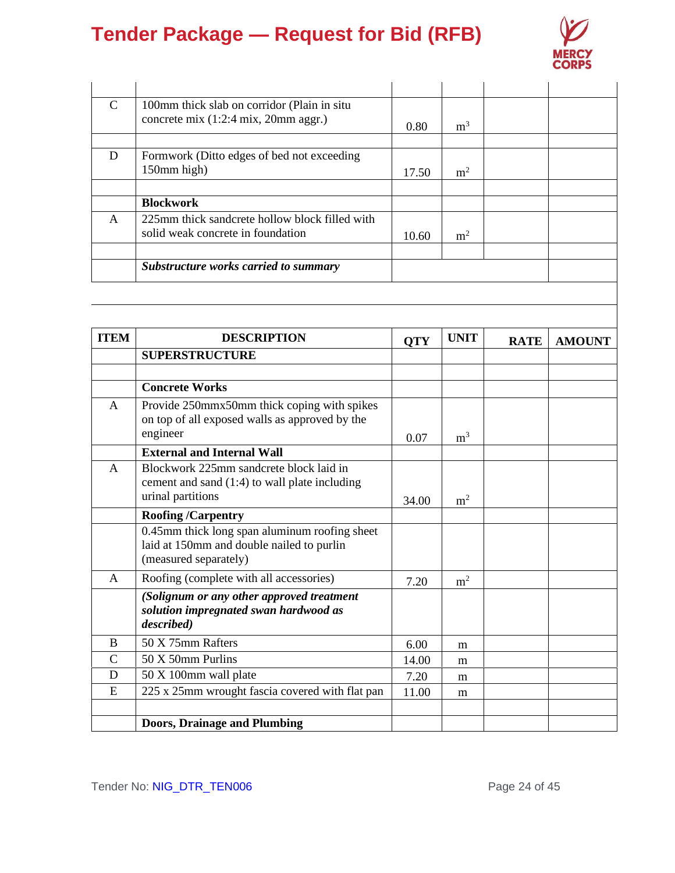

| C            | 100mm thick slab on corridor (Plain in situ<br>concrete mix (1:2:4 mix, 20mm aggr.) | 0.80  | m <sup>3</sup> |  |
|--------------|-------------------------------------------------------------------------------------|-------|----------------|--|
|              |                                                                                     |       |                |  |
| D            | Formwork (Ditto edges of bed not exceeding<br>150mm high)                           | 17.50 | m <sup>2</sup> |  |
|              |                                                                                     |       |                |  |
|              | <b>Blockwork</b>                                                                    |       |                |  |
| $\mathsf{A}$ | 225mm thick sandcrete hollow block filled with<br>solid weak concrete in foundation | 10.60 | m <sup>2</sup> |  |
|              |                                                                                     |       |                |  |
|              | <b>Substructure works carried to summary</b>                                        |       |                |  |

| <b>ITEM</b>   | <b>DESCRIPTION</b>                                                                                                  | <b>QTY</b> | <b>UNIT</b>    | <b>RATE</b> | <b>AMOUNT</b> |
|---------------|---------------------------------------------------------------------------------------------------------------------|------------|----------------|-------------|---------------|
|               | <b>SUPERSTRUCTURE</b>                                                                                               |            |                |             |               |
|               |                                                                                                                     |            |                |             |               |
|               | <b>Concrete Works</b>                                                                                               |            |                |             |               |
| $\mathsf{A}$  | Provide 250mmx50mm thick coping with spikes<br>on top of all exposed walls as approved by the<br>engineer           | 0.07       | m <sup>3</sup> |             |               |
|               | <b>External and Internal Wall</b>                                                                                   |            |                |             |               |
| $\mathsf{A}$  | Blockwork 225mm sandcrete block laid in<br>cement and sand $(1:4)$ to wall plate including<br>urinal partitions     | 34.00      | m <sup>2</sup> |             |               |
|               | <b>Roofing/Carpentry</b>                                                                                            |            |                |             |               |
|               | 0.45mm thick long span aluminum roofing sheet<br>laid at 150mm and double nailed to purlin<br>(measured separately) |            |                |             |               |
| $\mathsf{A}$  | Roofing (complete with all accessories)                                                                             | 7.20       | m <sup>2</sup> |             |               |
|               | (Solignum or any other approved treatment<br>solution impregnated swan hardwood as<br>described)                    |            |                |             |               |
| B             | 50 X 75mm Rafters                                                                                                   | 6.00       | m              |             |               |
| $\mathcal{C}$ | 50 X 50mm Purlins                                                                                                   | 14.00      | m              |             |               |
| D             | 50 X 100mm wall plate                                                                                               | 7.20       | m              |             |               |
| E             | 225 x 25mm wrought fascia covered with flat pan                                                                     | 11.00      | m              |             |               |
|               | <b>Doors, Drainage and Plumbing</b>                                                                                 |            |                |             |               |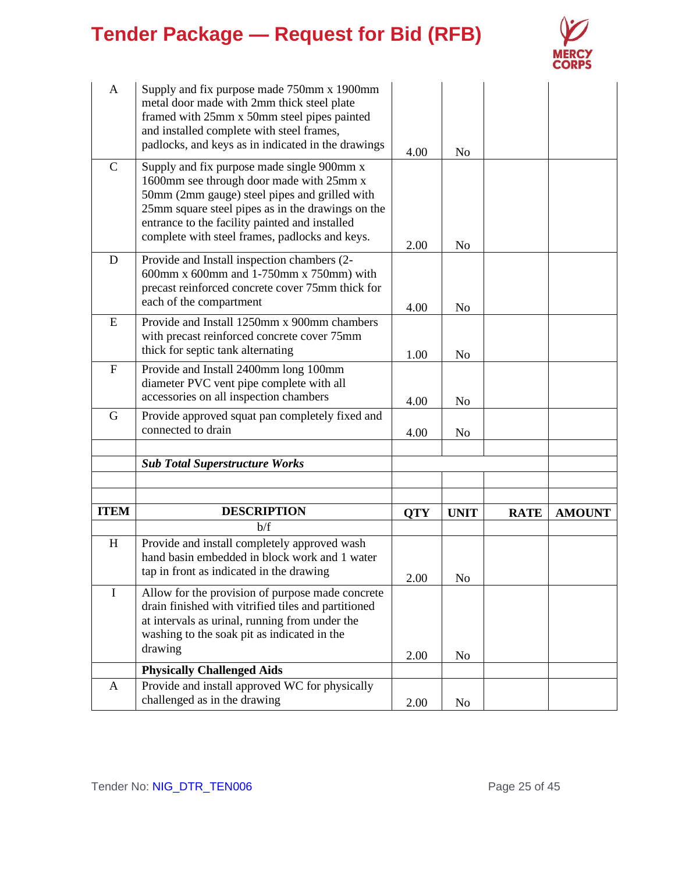

| $\mathbf{A}$              | Supply and fix purpose made 750mm x 1900mm<br>metal door made with 2mm thick steel plate<br>framed with 25mm x 50mm steel pipes painted<br>and installed complete with steel frames,<br>padlocks, and keys as in indicated in the drawings                                                       | 4.00       | No             |             |               |
|---------------------------|--------------------------------------------------------------------------------------------------------------------------------------------------------------------------------------------------------------------------------------------------------------------------------------------------|------------|----------------|-------------|---------------|
| $\mathcal{C}$             | Supply and fix purpose made single 900mm x<br>1600mm see through door made with 25mm x<br>50mm (2mm gauge) steel pipes and grilled with<br>25mm square steel pipes as in the drawings on the<br>entrance to the facility painted and installed<br>complete with steel frames, padlocks and keys. | 2.00       | N <sub>0</sub> |             |               |
| D                         | Provide and Install inspection chambers (2-<br>600mm x 600mm and 1-750mm x 750mm) with<br>precast reinforced concrete cover 75mm thick for<br>each of the compartment                                                                                                                            | 4.00       | N <sub>o</sub> |             |               |
| E                         | Provide and Install 1250mm x 900mm chambers<br>with precast reinforced concrete cover 75mm<br>thick for septic tank alternating                                                                                                                                                                  | 1.00       | N <sub>0</sub> |             |               |
| $\boldsymbol{\mathrm{F}}$ | Provide and Install 2400mm long 100mm<br>diameter PVC vent pipe complete with all<br>accessories on all inspection chambers                                                                                                                                                                      | 4.00       | No             |             |               |
| G                         | Provide approved squat pan completely fixed and<br>connected to drain                                                                                                                                                                                                                            | 4.00       | No             |             |               |
|                           | <b>Sub Total Superstructure Works</b>                                                                                                                                                                                                                                                            |            |                |             |               |
|                           |                                                                                                                                                                                                                                                                                                  |            |                |             |               |
| <b>ITEM</b>               | <b>DESCRIPTION</b>                                                                                                                                                                                                                                                                               | <b>QTY</b> | <b>UNIT</b>    | <b>RATE</b> | <b>AMOUNT</b> |
|                           | b/f                                                                                                                                                                                                                                                                                              |            |                |             |               |
| H                         | Provide and install completely approved wash<br>hand basin embedded in block work and 1 water<br>tap in front as indicated in the drawing                                                                                                                                                        | 2.00       | N <sub>0</sub> |             |               |
| I                         | Allow for the provision of purpose made concrete<br>drain finished with vitrified tiles and partitioned<br>at intervals as urinal, running from under the<br>washing to the soak pit as indicated in the<br>drawing                                                                              | 2.00       | N <sub>0</sub> |             |               |
|                           | <b>Physically Challenged Aids</b>                                                                                                                                                                                                                                                                |            |                |             |               |
| A                         | Provide and install approved WC for physically<br>challenged as in the drawing                                                                                                                                                                                                                   | 2.00       | No             |             |               |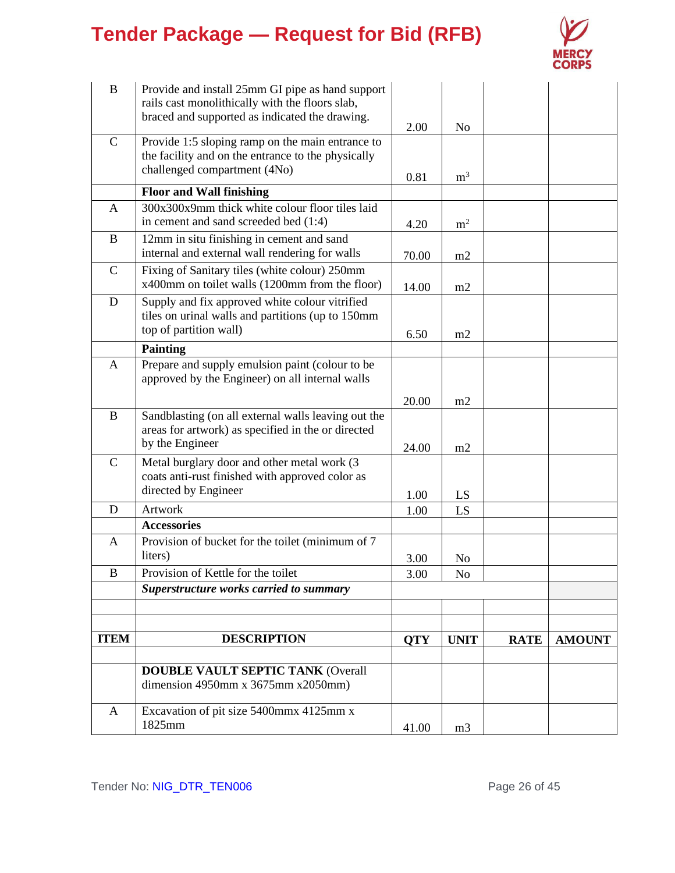

| $\bf{B}$      | Provide and install 25mm GI pipe as hand support<br>rails cast monolithically with the floors slab,<br>braced and supported as indicated the drawing. |            |                |             |               |
|---------------|-------------------------------------------------------------------------------------------------------------------------------------------------------|------------|----------------|-------------|---------------|
|               |                                                                                                                                                       | 2.00       | N <sub>o</sub> |             |               |
| $\mathsf{C}$  | Provide 1:5 sloping ramp on the main entrance to<br>the facility and on the entrance to the physically<br>challenged compartment (4No)                |            |                |             |               |
|               |                                                                                                                                                       | 0.81       | m <sup>3</sup> |             |               |
|               | <b>Floor and Wall finishing</b>                                                                                                                       |            |                |             |               |
| A             | 300x300x9mm thick white colour floor tiles laid<br>in cement and sand screeded bed (1:4)                                                              | 4.20       | m <sup>2</sup> |             |               |
| B             | 12mm in situ finishing in cement and sand<br>internal and external wall rendering for walls                                                           | 70.00      | m2             |             |               |
| $\mathbf C$   | Fixing of Sanitary tiles (white colour) 250mm<br>x400mm on toilet walls (1200mm from the floor)                                                       | 14.00      | m2             |             |               |
| D             | Supply and fix approved white colour vitrified<br>tiles on urinal walls and partitions (up to 150mm)<br>top of partition wall)                        | 6.50       | m2             |             |               |
|               | <b>Painting</b>                                                                                                                                       |            |                |             |               |
| $\mathbf{A}$  | Prepare and supply emulsion paint (colour to be<br>approved by the Engineer) on all internal walls                                                    |            |                |             |               |
|               |                                                                                                                                                       | 20.00      | m2             |             |               |
| $\bf{B}$      | Sandblasting (on all external walls leaving out the<br>areas for artwork) as specified in the or directed<br>by the Engineer                          |            |                |             |               |
| $\mathcal{C}$ | Metal burglary door and other metal work (3                                                                                                           | 24.00      | m2             |             |               |
|               | coats anti-rust finished with approved color as                                                                                                       |            |                |             |               |
|               | directed by Engineer                                                                                                                                  | 1.00       | LS             |             |               |
| D             | Artwork                                                                                                                                               | 1.00       | LS             |             |               |
|               | <b>Accessories</b>                                                                                                                                    |            |                |             |               |
| $\mathbf{A}$  | Provision of bucket for the toilet (minimum of 7<br>liters)                                                                                           | 3.00       |                |             |               |
| $\, {\bf B}$  | Provision of Kettle for the toilet                                                                                                                    | 3.00       | No<br>$\rm No$ |             |               |
|               | Superstructure works carried to summary                                                                                                               |            |                |             |               |
|               |                                                                                                                                                       |            |                |             |               |
|               |                                                                                                                                                       |            |                |             |               |
| <b>ITEM</b>   | <b>DESCRIPTION</b>                                                                                                                                    | <b>QTY</b> | <b>UNIT</b>    | <b>RATE</b> | <b>AMOUNT</b> |
|               |                                                                                                                                                       |            |                |             |               |
|               | <b>DOUBLE VAULT SEPTIC TANK (Overall</b><br>dimension 4950mm x 3675mm x 2050mm)                                                                       |            |                |             |               |
| A             | Excavation of pit size 5400mmx 4125mm x<br>1825mm                                                                                                     | 41.00      | m <sub>3</sub> |             |               |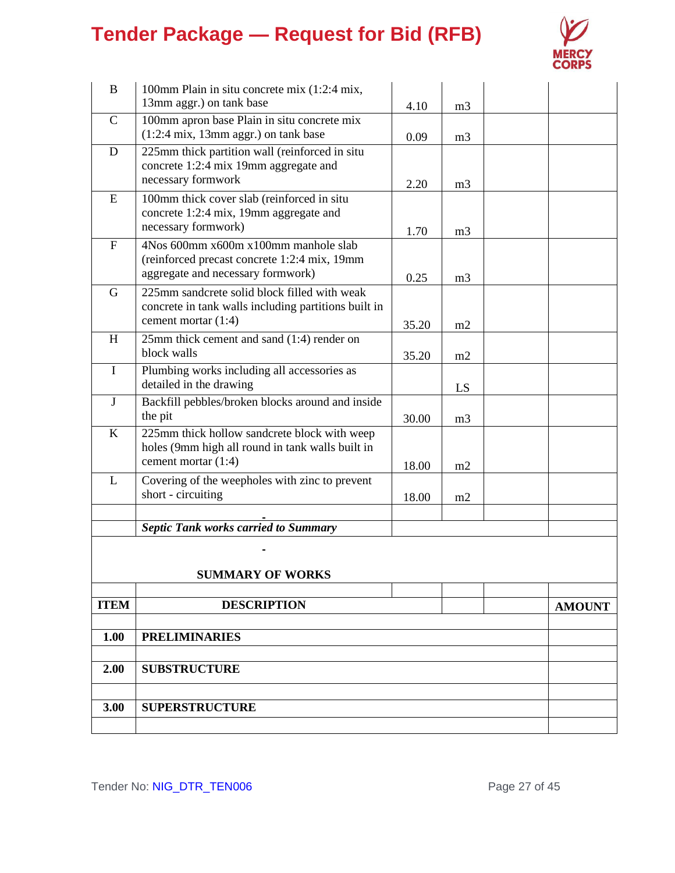

| B            | 100mm Plain in situ concrete mix (1:2:4 mix,                                            |       |                |               |
|--------------|-----------------------------------------------------------------------------------------|-------|----------------|---------------|
|              | 13mm aggr.) on tank base                                                                | 4.10  | m <sub>3</sub> |               |
| $\mathbf C$  | 100mm apron base Plain in situ concrete mix                                             |       |                |               |
| D            | $(1:2:4 \text{ mix}, 13 \text{mm agar})$ on tank base                                   | 0.09  | m <sub>3</sub> |               |
|              | 225mm thick partition wall (reinforced in situ<br>concrete 1:2:4 mix 19mm aggregate and |       |                |               |
|              | necessary formwork                                                                      | 2.20  | m <sub>3</sub> |               |
| ${\bf E}$    | 100mm thick cover slab (reinforced in situ                                              |       |                |               |
|              | concrete 1:2:4 mix, 19mm aggregate and                                                  |       |                |               |
|              | necessary formwork)                                                                     | 1.70  | m <sub>3</sub> |               |
| ${\bf F}$    | 4Nos 600mm x600m x100mm manhole slab                                                    |       |                |               |
|              | (reinforced precast concrete 1:2:4 mix, 19mm<br>aggregate and necessary formwork)       |       |                |               |
| G            | 225mm sandcrete solid block filled with weak                                            | 0.25  | m <sub>3</sub> |               |
|              | concrete in tank walls including partitions built in                                    |       |                |               |
|              | cement mortar (1:4)                                                                     | 35.20 | m2             |               |
| H            | 25mm thick cement and sand (1:4) render on                                              |       |                |               |
|              | block walls                                                                             | 35.20 | m2             |               |
| $\mathbf I$  | Plumbing works including all accessories as<br>detailed in the drawing                  |       |                |               |
| $\mathbf{J}$ | Backfill pebbles/broken blocks around and inside                                        |       | LS             |               |
|              | the pit                                                                                 | 30.00 | m <sub>3</sub> |               |
| K            | 225mm thick hollow sandcrete block with weep                                            |       |                |               |
|              | holes (9mm high all round in tank walls built in                                        |       |                |               |
|              | cement mortar (1:4)                                                                     | 18.00 | m2             |               |
| L            | Covering of the weepholes with zinc to prevent<br>short - circuiting                    |       |                |               |
|              |                                                                                         | 18.00 | m2             |               |
|              | <b>Septic Tank works carried to Summary</b>                                             |       |                |               |
|              |                                                                                         |       |                |               |
|              |                                                                                         |       |                |               |
|              | <b>SUMMARY OF WORKS</b>                                                                 |       |                |               |
| <b>ITEM</b>  | <b>DESCRIPTION</b>                                                                      |       |                | <b>AMOUNT</b> |
|              |                                                                                         |       |                |               |
| 1.00         | <b>PRELIMINARIES</b>                                                                    |       |                |               |
|              |                                                                                         |       |                |               |
| 2.00         | <b>SUBSTRUCTURE</b>                                                                     |       |                |               |
| 3.00         | <b>SUPERSTRUCTURE</b>                                                                   |       |                |               |
|              |                                                                                         |       |                |               |
|              |                                                                                         |       |                |               |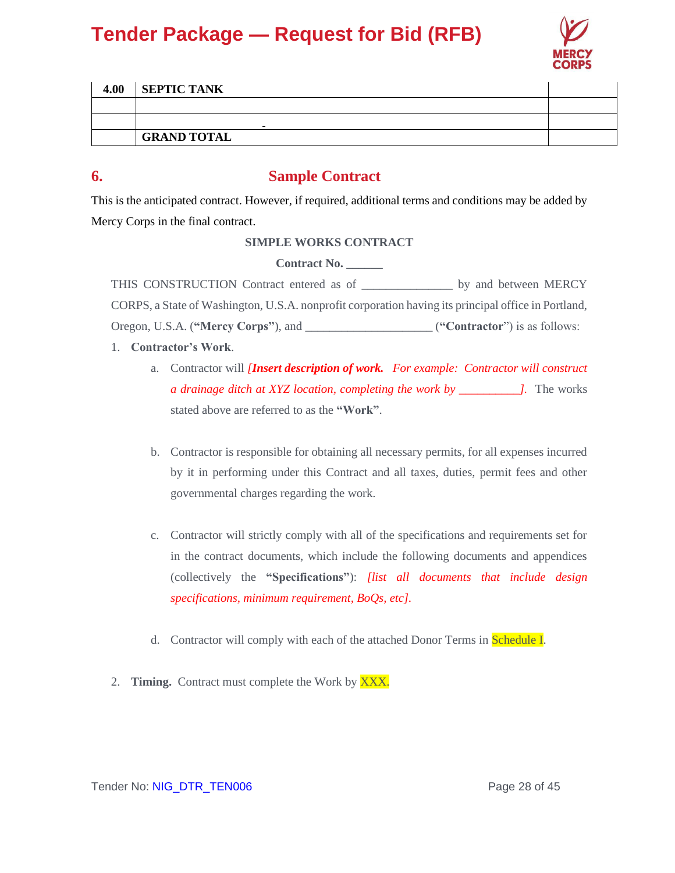

| 4.00 | <b>SEPTIC TANK</b>       |  |
|------|--------------------------|--|
|      |                          |  |
|      | $\overline{\phantom{0}}$ |  |
|      | <b>GRAND TOTAL</b>       |  |

### **6. Sample Contract**

This is the anticipated contract. However, if required, additional terms and conditions may be added by Mercy Corps in the final contract.

### **SIMPLE WORKS CONTRACT**

**Contract No. \_\_\_\_\_\_**

THIS CONSTRUCTION Contract entered as of \_\_\_\_\_\_\_\_\_\_\_\_\_\_\_ by and between MERCY CORPS, a State of Washington, U.S.A. nonprofit corporation having its principal office in Portland, Oregon, U.S.A. (**"Mercy Corps"**), and \_\_\_\_\_\_\_\_\_\_\_\_\_\_\_\_\_\_\_\_\_ (**"Contractor**") is as follows:

- 1. **Contractor's Work**.
	- a. Contractor will *[Insert description of work. For example: Contractor will construct a drainage ditch at XYZ location, completing the work by \_\_\_\_\_\_\_\_\_\_].* The works stated above are referred to as the **"Work"**.
	- b. Contractor is responsible for obtaining all necessary permits, for all expenses incurred by it in performing under this Contract and all taxes, duties, permit fees and other governmental charges regarding the work.
	- c. Contractor will strictly comply with all of the specifications and requirements set for in the contract documents, which include the following documents and appendices (collectively the **"Specifications"**): *[list all documents that include design specifications, minimum requirement, BoQs, etc].*
	- d. Contractor will comply with each of the attached Donor Terms in Schedule I.
- 2. **Timing.** Contract must complete the Work by XXX.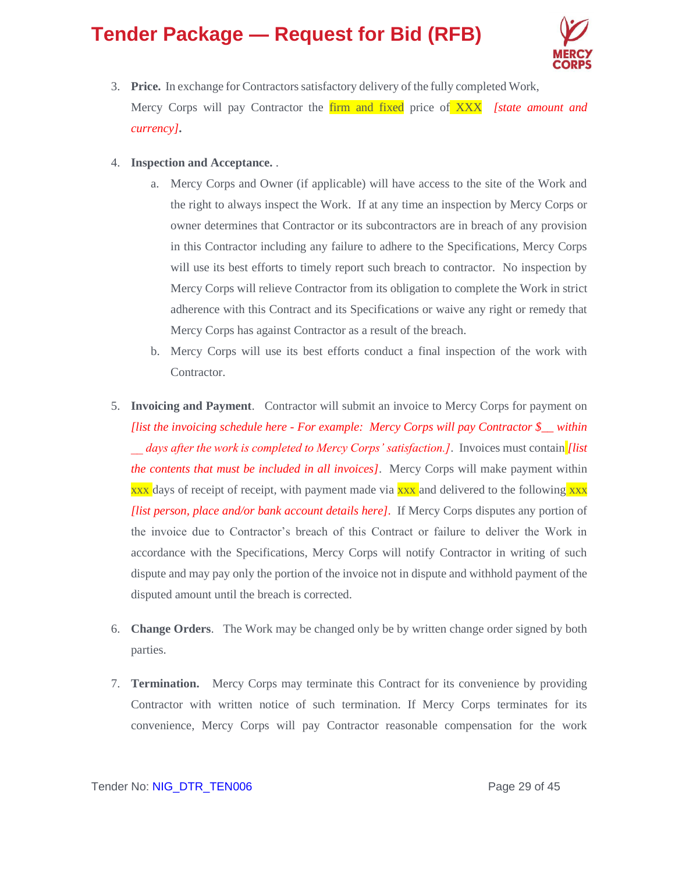

- 3. **Price.** In exchange for Contractors satisfactory delivery of the fully completed Work, Mercy Corps will pay Contractor the firm and fixed price of XXX *[state amount and currency]***.**
- 4. **Inspection and Acceptance.** .
	- a. Mercy Corps and Owner (if applicable) will have access to the site of the Work and the right to always inspect the Work. If at any time an inspection by Mercy Corps or owner determines that Contractor or its subcontractors are in breach of any provision in this Contractor including any failure to adhere to the Specifications, Mercy Corps will use its best efforts to timely report such breach to contractor. No inspection by Mercy Corps will relieve Contractor from its obligation to complete the Work in strict adherence with this Contract and its Specifications or waive any right or remedy that Mercy Corps has against Contractor as a result of the breach.
	- b. Mercy Corps will use its best efforts conduct a final inspection of the work with Contractor.
- 5. **Invoicing and Payment**. Contractor will submit an invoice to Mercy Corps for payment on *[list the invoicing schedule here - For example: Mercy Corps will pay Contractor \$\_\_ within \_\_ days after the work is completed to Mercy Corps' satisfaction.]*. Invoices must contain *[list the contents that must be included in all invoices]*. Mercy Corps will make payment within xx days of receipt of receipt, with payment made via xxx and delivered to the following xxx *[list person, place and/or bank account details here]*.If Mercy Corps disputes any portion of the invoice due to Contractor's breach of this Contract or failure to deliver the Work in accordance with the Specifications, Mercy Corps will notify Contractor in writing of such dispute and may pay only the portion of the invoice not in dispute and withhold payment of the disputed amount until the breach is corrected.
- 6. **Change Orders**. The Work may be changed only be by written change order signed by both parties.
- 7. **Termination.** Mercy Corps may terminate this Contract for its convenience by providing Contractor with written notice of such termination. If Mercy Corps terminates for its convenience, Mercy Corps will pay Contractor reasonable compensation for the work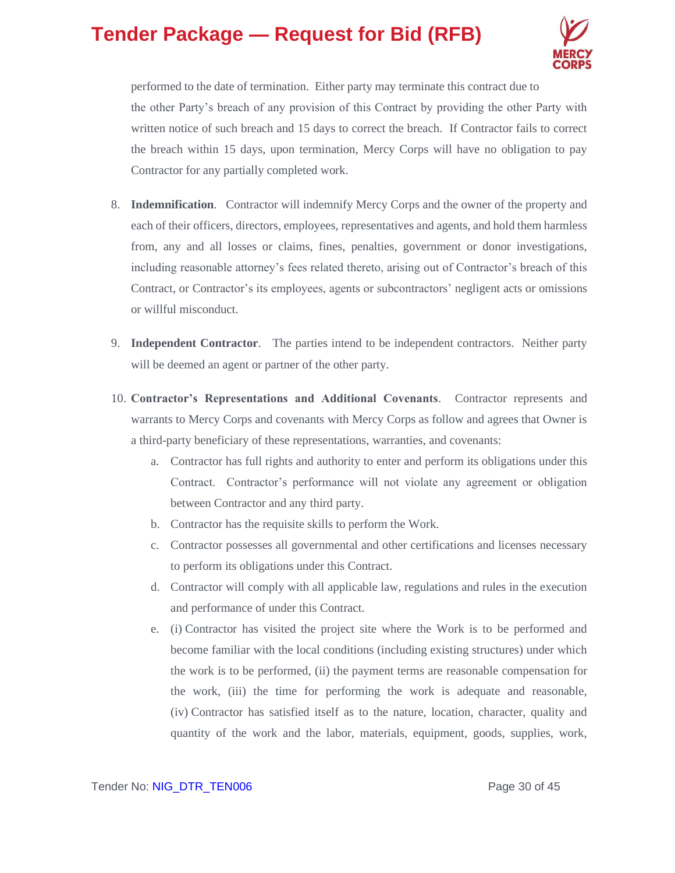

performed to the date of termination. Either party may terminate this contract due to the other Party's breach of any provision of this Contract by providing the other Party with written notice of such breach and 15 days to correct the breach. If Contractor fails to correct the breach within 15 days, upon termination, Mercy Corps will have no obligation to pay Contractor for any partially completed work.

- 8. **Indemnification**. Contractor will indemnify Mercy Corps and the owner of the property and each of their officers, directors, employees, representatives and agents, and hold them harmless from, any and all losses or claims, fines, penalties, government or donor investigations, including reasonable attorney's fees related thereto, arising out of Contractor's breach of this Contract, or Contractor's its employees, agents or subcontractors' negligent acts or omissions or willful misconduct.
- 9. **Independent Contractor**. The parties intend to be independent contractors. Neither party will be deemed an agent or partner of the other party.
- 10. **Contractor's Representations and Additional Covenants**. Contractor represents and warrants to Mercy Corps and covenants with Mercy Corps as follow and agrees that Owner is a third-party beneficiary of these representations, warranties, and covenants:
	- a. Contractor has full rights and authority to enter and perform its obligations under this Contract. Contractor's performance will not violate any agreement or obligation between Contractor and any third party.
	- b. Contractor has the requisite skills to perform the Work.
	- c. Contractor possesses all governmental and other certifications and licenses necessary to perform its obligations under this Contract.
	- d. Contractor will comply with all applicable law, regulations and rules in the execution and performance of under this Contract.
	- e. (i) Contractor has visited the project site where the Work is to be performed and become familiar with the local conditions (including existing structures) under which the work is to be performed, (ii) the payment terms are reasonable compensation for the work, (iii) the time for performing the work is adequate and reasonable, (iv) Contractor has satisfied itself as to the nature, location, character, quality and quantity of the work and the labor, materials, equipment, goods, supplies, work,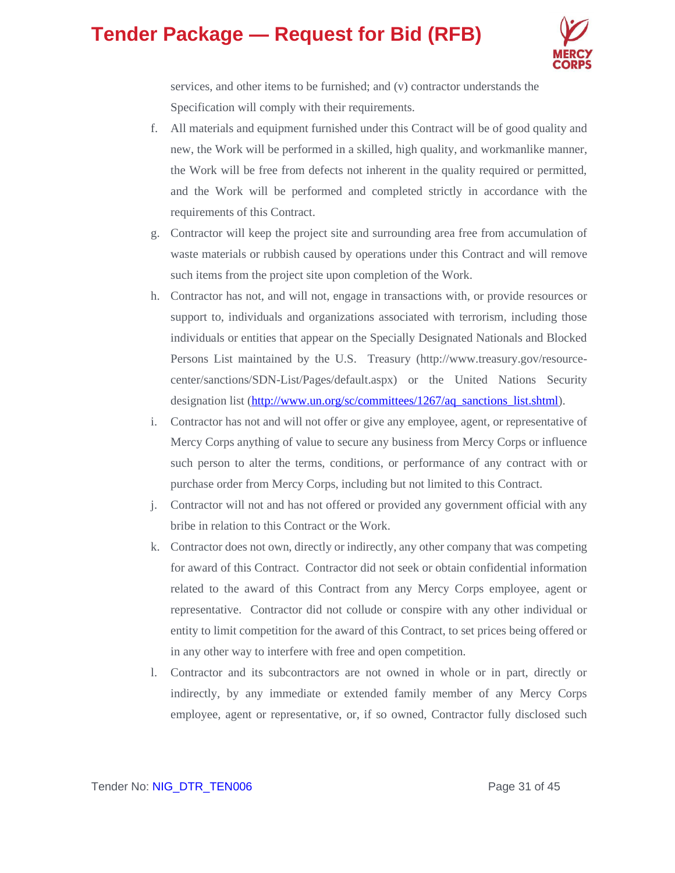

services, and other items to be furnished; and (v) contractor understands the Specification will comply with their requirements.

- f. All materials and equipment furnished under this Contract will be of good quality and new, the Work will be performed in a skilled, high quality, and workmanlike manner, the Work will be free from defects not inherent in the quality required or permitted, and the Work will be performed and completed strictly in accordance with the requirements of this Contract.
- g. Contractor will keep the project site and surrounding area free from accumulation of waste materials or rubbish caused by operations under this Contract and will remove such items from the project site upon completion of the Work.
- h. Contractor has not, and will not, engage in transactions with, or provide resources or support to, individuals and organizations associated with terrorism, including those individuals or entities that appear on the Specially Designated Nationals and Blocked Persons List maintained by the U.S. Treasury (http://www.treasury.gov/resourcecenter/sanctions/SDN-List/Pages/default.aspx) or the United Nations Security designation list [\(http://www.un.org/sc/committees/1267/aq\\_sanctions\\_list.shtml\)](http://www.un.org/sc/committees/1267/aq_sanctions_list.shtml).
- i. Contractor has not and will not offer or give any employee, agent, or representative of Mercy Corps anything of value to secure any business from Mercy Corps or influence such person to alter the terms, conditions, or performance of any contract with or purchase order from Mercy Corps, including but not limited to this Contract.
- j. Contractor will not and has not offered or provided any government official with any bribe in relation to this Contract or the Work.
- k. Contractor does not own, directly or indirectly, any other company that was competing for award of this Contract. Contractor did not seek or obtain confidential information related to the award of this Contract from any Mercy Corps employee, agent or representative. Contractor did not collude or conspire with any other individual or entity to limit competition for the award of this Contract, to set prices being offered or in any other way to interfere with free and open competition.
- l. Contractor and its subcontractors are not owned in whole or in part, directly or indirectly, by any immediate or extended family member of any Mercy Corps employee, agent or representative, or, if so owned, Contractor fully disclosed such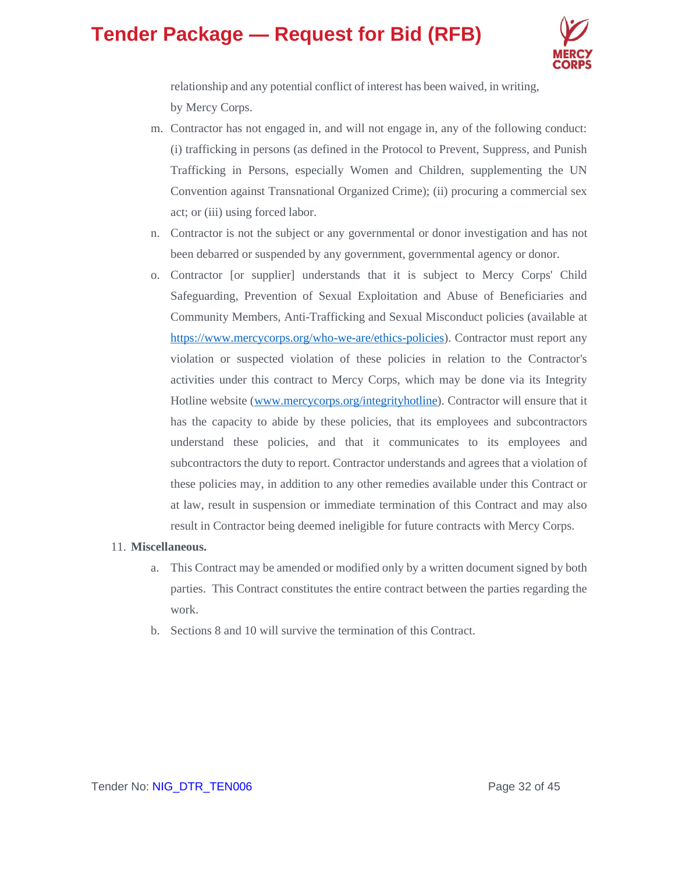

relationship and any potential conflict of interest has been waived, in writing, by Mercy Corps.

- m. Contractor has not engaged in, and will not engage in, any of the following conduct: (i) trafficking in persons (as defined in the Protocol to Prevent, Suppress, and Punish Trafficking in Persons, especially Women and Children, supplementing the UN Convention against Transnational Organized Crime); (ii) procuring a commercial sex act; or (iii) using forced labor.
- n. Contractor is not the subject or any governmental or donor investigation and has not been debarred or suspended by any government, governmental agency or donor.
- o. Contractor [or supplier] understands that it is subject to Mercy Corps' Child Safeguarding, Prevention of Sexual Exploitation and Abuse of Beneficiaries and Community Members, Anti-Trafficking and Sexual Misconduct policies (available at [https://www.mercycorps.org/who-we-are/ethics-policies\)](https://www.mercycorps.org/who-we-are/ethics-policies). Contractor must report any violation or suspected violation of these policies in relation to the Contractor's activities under this contract to Mercy Corps, which may be done via its Integrity Hotline website [\(www.mercycorps.org/integrityhotline\)](http://www.mercycorps.org/integrityhotline). Contractor will ensure that it has the capacity to abide by these policies, that its employees and subcontractors understand these policies, and that it communicates to its employees and subcontractors the duty to report. Contractor understands and agrees that a violation of these policies may, in addition to any other remedies available under this Contract or at law, result in suspension or immediate termination of this Contract and may also result in Contractor being deemed ineligible for future contracts with Mercy Corps.

#### 11. **Miscellaneous.**

- a. This Contract may be amended or modified only by a written document signed by both parties. This Contract constitutes the entire contract between the parties regarding the work.
- b. Sections 8 and 10 will survive the termination of this Contract.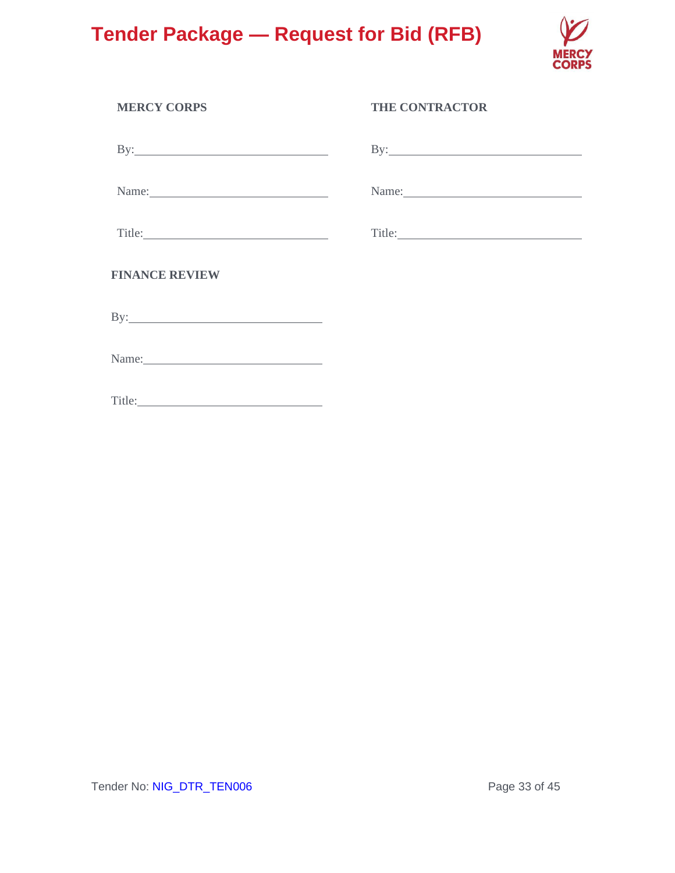

| <b>MERCY CORPS</b>    | <b>THE CONTRACTOR</b>                                                                                           |
|-----------------------|-----------------------------------------------------------------------------------------------------------------|
|                       |                                                                                                                 |
|                       |                                                                                                                 |
|                       | Title: The Commission of the Commission of the Commission of the Commission of the Commission of the Commission |
| <b>FINANCE REVIEW</b> |                                                                                                                 |
|                       |                                                                                                                 |
| Name:                 |                                                                                                                 |
|                       |                                                                                                                 |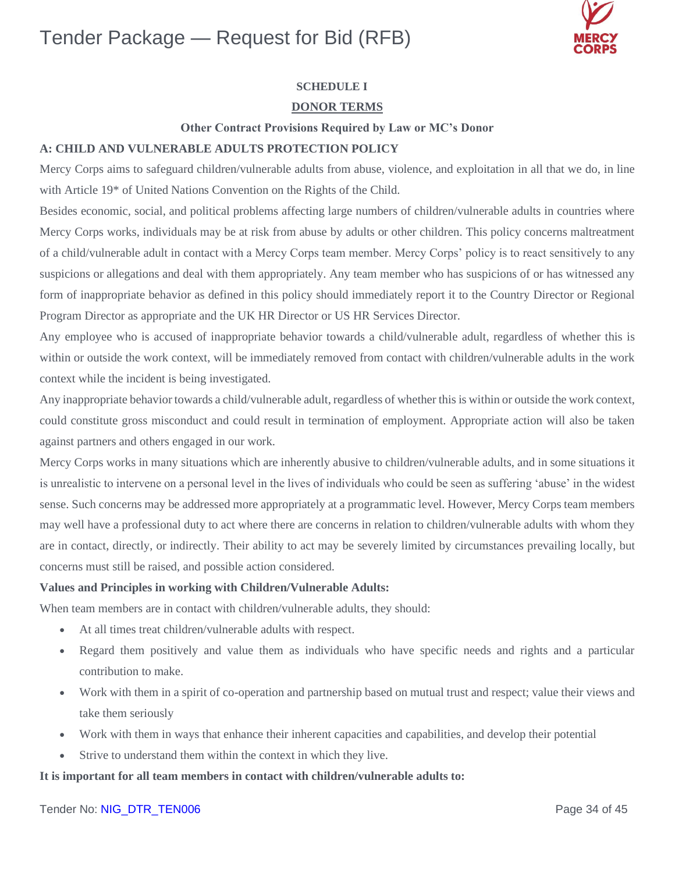

### **SCHEDULE I**

#### **DONOR TERMS**

#### **Other Contract Provisions Required by Law or MC's Donor**

#### **A: CHILD AND VULNERABLE ADULTS PROTECTION POLICY**

Mercy Corps aims to safeguard children/vulnerable adults from abuse, violence, and exploitation in all that we do, in line with Article 19\* of United Nations Convention on the Rights of the Child.

Besides economic, social, and political problems affecting large numbers of children/vulnerable adults in countries where Mercy Corps works, individuals may be at risk from abuse by adults or other children. This policy concerns maltreatment of a child/vulnerable adult in contact with a Mercy Corps team member. Mercy Corps' policy is to react sensitively to any suspicions or allegations and deal with them appropriately. Any team member who has suspicions of or has witnessed any form of inappropriate behavior as defined in this policy should immediately report it to the Country Director or Regional Program Director as appropriate and the UK HR Director or US HR Services Director.

Any employee who is accused of inappropriate behavior towards a child/vulnerable adult, regardless of whether this is within or outside the work context, will be immediately removed from contact with children/vulnerable adults in the work context while the incident is being investigated.

Any inappropriate behavior towards a child/vulnerable adult, regardless of whether this is within or outside the work context, could constitute gross misconduct and could result in termination of employment. Appropriate action will also be taken against partners and others engaged in our work.

Mercy Corps works in many situations which are inherently abusive to children/vulnerable adults, and in some situations it is unrealistic to intervene on a personal level in the lives of individuals who could be seen as suffering 'abuse' in the widest sense. Such concerns may be addressed more appropriately at a programmatic level. However, Mercy Corps team members may well have a professional duty to act where there are concerns in relation to children/vulnerable adults with whom they are in contact, directly, or indirectly. Their ability to act may be severely limited by circumstances prevailing locally, but concerns must still be raised, and possible action considered.

#### **Values and Principles in working with Children/Vulnerable Adults:**

When team members are in contact with children/vulnerable adults, they should:

- At all times treat children/vulnerable adults with respect.
- Regard them positively and value them as individuals who have specific needs and rights and a particular contribution to make.
- Work with them in a spirit of co-operation and partnership based on mutual trust and respect; value their views and take them seriously
- Work with them in ways that enhance their inherent capacities and capabilities, and develop their potential
- Strive to understand them within the context in which they live.

#### **It is important for all team members in contact with children/vulnerable adults to:**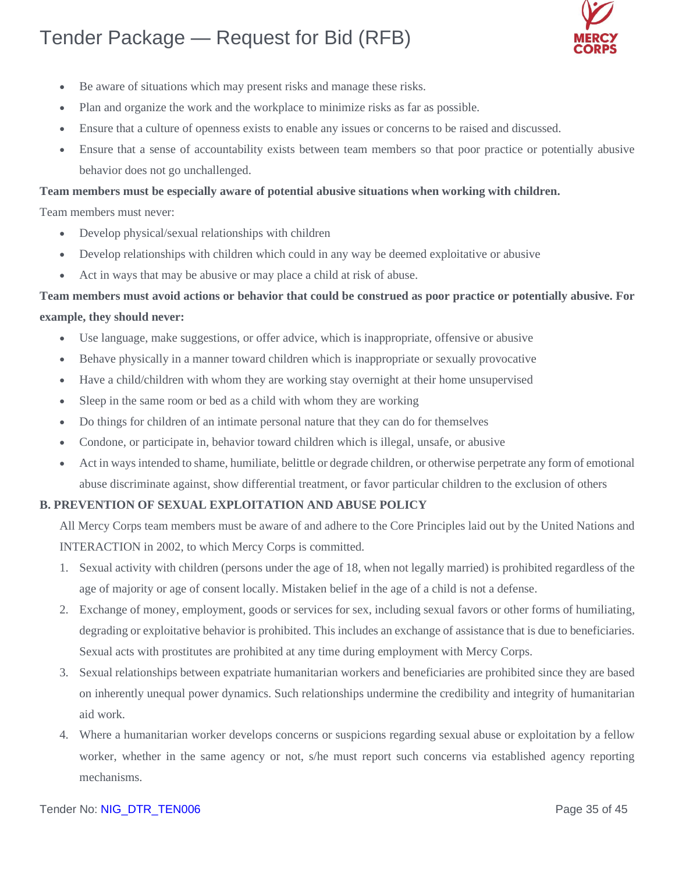

- Be aware of situations which may present risks and manage these risks.
- Plan and organize the work and the workplace to minimize risks as far as possible.
- Ensure that a culture of openness exists to enable any issues or concerns to be raised and discussed.
- Ensure that a sense of accountability exists between team members so that poor practice or potentially abusive behavior does not go unchallenged.

#### **Team members must be especially aware of potential abusive situations when working with children.**

Team members must never:

- Develop physical/sexual relationships with children
- Develop relationships with children which could in any way be deemed exploitative or abusive
- Act in ways that may be abusive or may place a child at risk of abuse.

### **Team members must avoid actions or behavior that could be construed as poor practice or potentially abusive. For example, they should never:**

- Use language, make suggestions, or offer advice, which is inappropriate, offensive or abusive
- Behave physically in a manner toward children which is inappropriate or sexually provocative
- Have a child/children with whom they are working stay overnight at their home unsupervised
- Sleep in the same room or bed as a child with whom they are working
- Do things for children of an intimate personal nature that they can do for themselves
- Condone, or participate in, behavior toward children which is illegal, unsafe, or abusive
- Act in ways intended to shame, humiliate, belittle or degrade children, or otherwise perpetrate any form of emotional abuse discriminate against, show differential treatment, or favor particular children to the exclusion of others

#### **B. PREVENTION OF SEXUAL EXPLOITATION AND ABUSE POLICY**

All Mercy Corps team members must be aware of and adhere to the Core Principles laid out by the United Nations and INTERACTION in 2002, to which Mercy Corps is committed.

- 1. Sexual activity with children (persons under the age of 18, when not legally married) is prohibited regardless of the age of majority or age of consent locally. Mistaken belief in the age of a child is not a defense.
- 2. Exchange of money, employment, goods or services for sex, including sexual favors or other forms of humiliating, degrading or exploitative behavior is prohibited. This includes an exchange of assistance that is due to beneficiaries. Sexual acts with prostitutes are prohibited at any time during employment with Mercy Corps.
- 3. Sexual relationships between expatriate humanitarian workers and beneficiaries are prohibited since they are based on inherently unequal power dynamics. Such relationships undermine the credibility and integrity of humanitarian aid work.
- 4. Where a humanitarian worker develops concerns or suspicions regarding sexual abuse or exploitation by a fellow worker, whether in the same agency or not, s/he must report such concerns via established agency reporting mechanisms.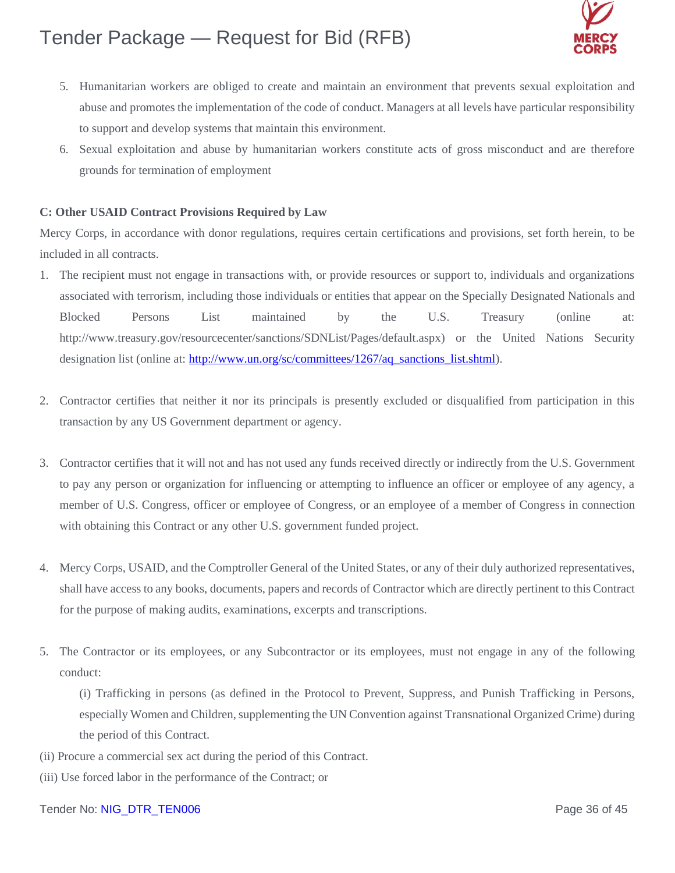

- 5. Humanitarian workers are obliged to create and maintain an environment that prevents sexual exploitation and abuse and promotes the implementation of the code of conduct. Managers at all levels have particular responsibility to support and develop systems that maintain this environment.
- 6. Sexual exploitation and abuse by humanitarian workers constitute acts of gross misconduct and are therefore grounds for termination of employment

#### **C: Other USAID Contract Provisions Required by Law**

Mercy Corps, in accordance with donor regulations, requires certain certifications and provisions, set forth herein, to be included in all contracts.

- 1. The recipient must not engage in transactions with, or provide resources or support to, individuals and organizations associated with terrorism, including those individuals or entities that appear on the Specially Designated Nationals and Blocked Persons List maintained by the U.S. Treasury (online at: [http://www.treasury.gov/resourcec](http://www.treasury.gov/resource)enter/sanctions/SDNList/Pages/default.aspx) or the United Nations Security designation list (online at: [http://www.un.org/sc/committees/1267/aq\\_sanctions\\_list.shtml\)](http://www.un.org/sc/committees/1267/aq_sanctions_list.shtml).
- 2. Contractor certifies that neither it nor its principals is presently excluded or disqualified from participation in this transaction by any US Government department or agency.
- 3. Contractor certifies that it will not and has not used any funds received directly or indirectly from the U.S. Government to pay any person or organization for influencing or attempting to influence an officer or employee of any agency, a member of U.S. Congress, officer or employee of Congress, or an employee of a member of Congress in connection with obtaining this Contract or any other U.S. government funded project.
- 4. Mercy Corps, USAID, and the Comptroller General of the United States, or any of their duly authorized representatives, shall have access to any books, documents, papers and records of Contractor which are directly pertinent to this Contract for the purpose of making audits, examinations, excerpts and transcriptions.
- 5. The Contractor or its employees, or any Subcontractor or its employees, must not engage in any of the following conduct:

(i) Trafficking in persons (as defined in the Protocol to Prevent, Suppress, and Punish Trafficking in Persons, especially Women and Children, supplementing the UN Convention against Transnational Organized Crime) during the period of this Contract.

- (ii) Procure a commercial sex act during the period of this Contract.
- (iii) Use forced labor in the performance of the Contract; or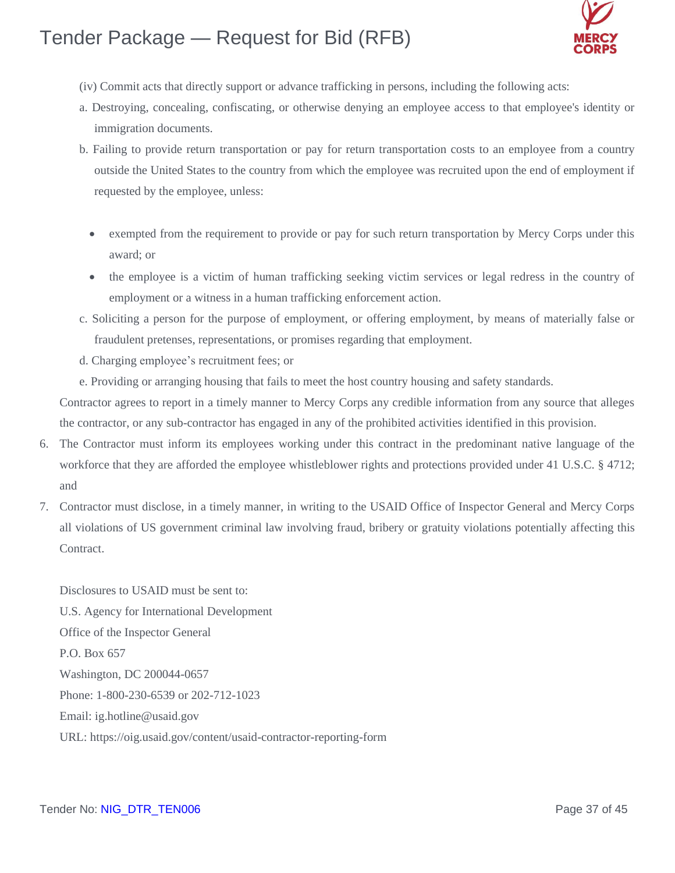

- (iv) Commit acts that directly support or advance trafficking in persons, including the following acts:
- a. Destroying, concealing, confiscating, or otherwise denying an employee access to that employee's identity or immigration documents.
- b. Failing to provide return transportation or pay for return transportation costs to an employee from a country outside the United States to the country from which the employee was recruited upon the end of employment if requested by the employee, unless:
	- exempted from the requirement to provide or pay for such return transportation by Mercy Corps under this award; or
	- the employee is a victim of human trafficking seeking victim services or legal redress in the country of employment or a witness in a human trafficking enforcement action.
- c. Soliciting a person for the purpose of employment, or offering employment, by means of materially false or fraudulent pretenses, representations, or promises regarding that employment.
- d. Charging employee's recruitment fees; or
- e. Providing or arranging housing that fails to meet the host country housing and safety standards.

Contractor agrees to report in a timely manner to Mercy Corps any credible information from any source that alleges the contractor, or any sub-contractor has engaged in any of the prohibited activities identified in this provision.

- 6. The Contractor must inform its employees working under this contract in the predominant native language of the workforce that they are afforded the employee whistleblower rights and protections provided under 41 U.S.C. § 4712; and
- 7. Contractor must disclose, in a timely manner, in writing to the USAID Office of Inspector General and Mercy Corps all violations of US government criminal law involving fraud, bribery or gratuity violations potentially affecting this Contract.

Disclosures to USAID must be sent to: U.S. Agency for International Development Office of the Inspector General P.O. Box 657 Washington, DC 200044-0657 Phone: 1-800-230-6539 or 202-712-1023 Email: [ig.hotline@usaid.gov](mailto:ig.hotline@usaid.gov) URL: https://oig.usaid.gov/content/usaid-contractor-reporting-form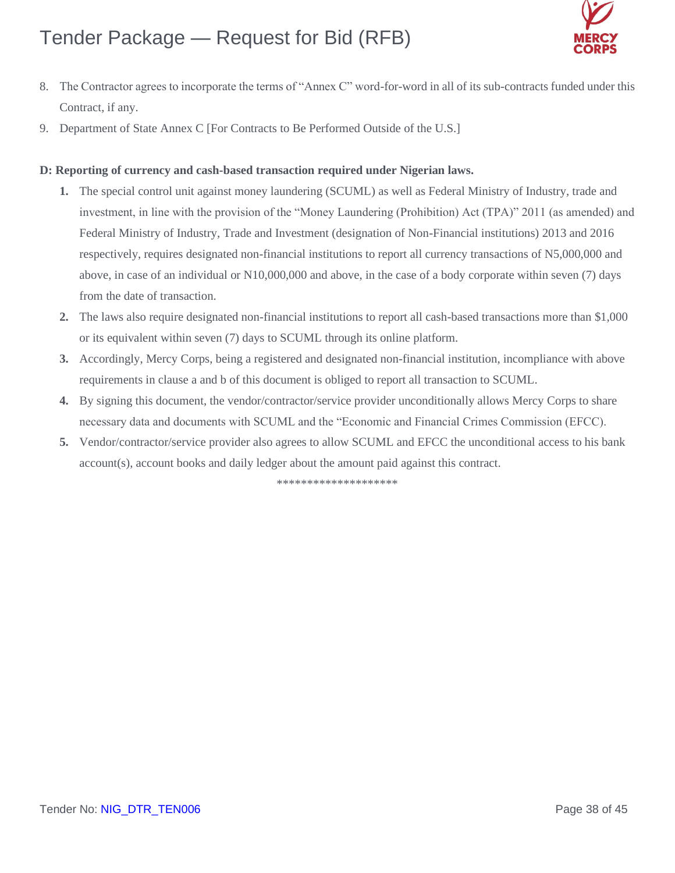

- 8. The Contractor agrees to incorporate the terms of "Annex C" word-for-word in all of its sub-contracts funded under this Contract, if any.
- 9. Department of State Annex C [For Contracts to Be Performed Outside of the U.S.]

#### **D: Reporting of currency and cash-based transaction required under Nigerian laws.**

- **1.** The special control unit against money laundering (SCUML) as well as Federal Ministry of Industry, trade and investment, in line with the provision of the "Money Laundering (Prohibition) Act (TPA)" 2011 (as amended) and Federal Ministry of Industry, Trade and Investment (designation of Non-Financial institutions) 2013 and 2016 respectively, requires designated non-financial institutions to report all currency transactions of N5,000,000 and above, in case of an individual or N10,000,000 and above, in the case of a body corporate within seven (7) days from the date of transaction.
- **2.** The laws also require designated non-financial institutions to report all cash-based transactions more than \$1,000 or its equivalent within seven (7) days to SCUML through its online platform.
- **3.** Accordingly, Mercy Corps, being a registered and designated non-financial institution, incompliance with above requirements in clause a and b of this document is obliged to report all transaction to SCUML.
- **4.** By signing this document, the vendor/contractor/service provider unconditionally allows Mercy Corps to share necessary data and documents with SCUML and the "Economic and Financial Crimes Commission (EFCC).
- **5.** Vendor/contractor/service provider also agrees to allow SCUML and EFCC the unconditional access to his bank account(s), account books and daily ledger about the amount paid against this contract.

\*\*\*\*\*\*\*\*\*\*\*\*\*\*\*\*\*\*\*\*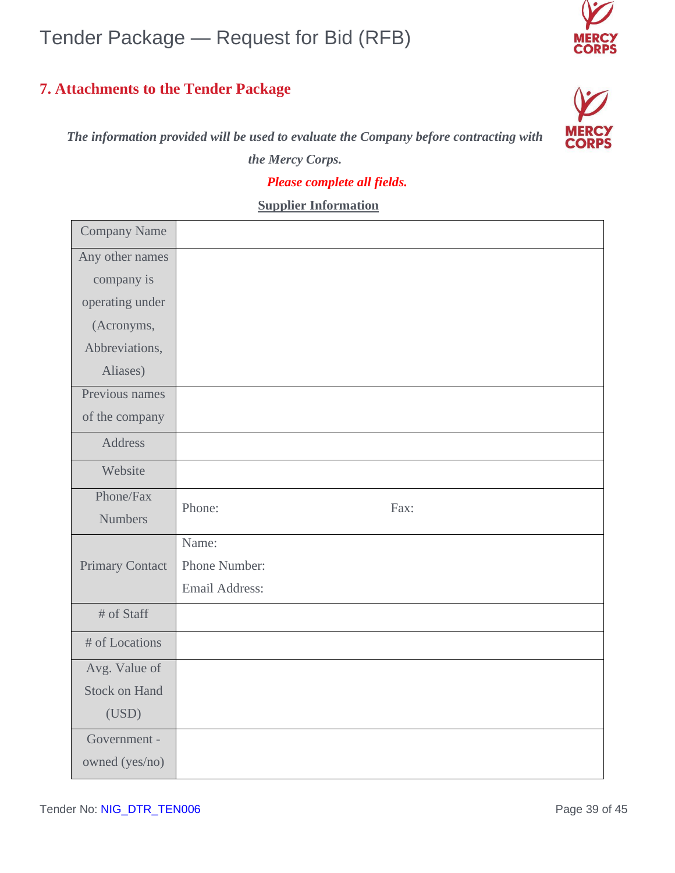### **7. Attachments to the Tender Package**





*Please complete all fields.*

 **Supplier Information**

| <b>Company Name</b>    |                |
|------------------------|----------------|
| Any other names        |                |
| company is             |                |
| operating under        |                |
| (Acronyms,             |                |
| Abbreviations,         |                |
| Aliases)               |                |
| Previous names         |                |
| of the company         |                |
| <b>Address</b>         |                |
| Website                |                |
| Phone/Fax              | Phone:<br>Fax: |
| <b>Numbers</b>         |                |
|                        | Name:          |
| <b>Primary Contact</b> | Phone Number:  |
|                        | Email Address: |
| # of Staff             |                |
| # of Locations         |                |
| Avg. Value of          |                |
| <b>Stock on Hand</b>   |                |
| (USD)                  |                |
| Government -           |                |
| owned (yes/no)         |                |
|                        |                |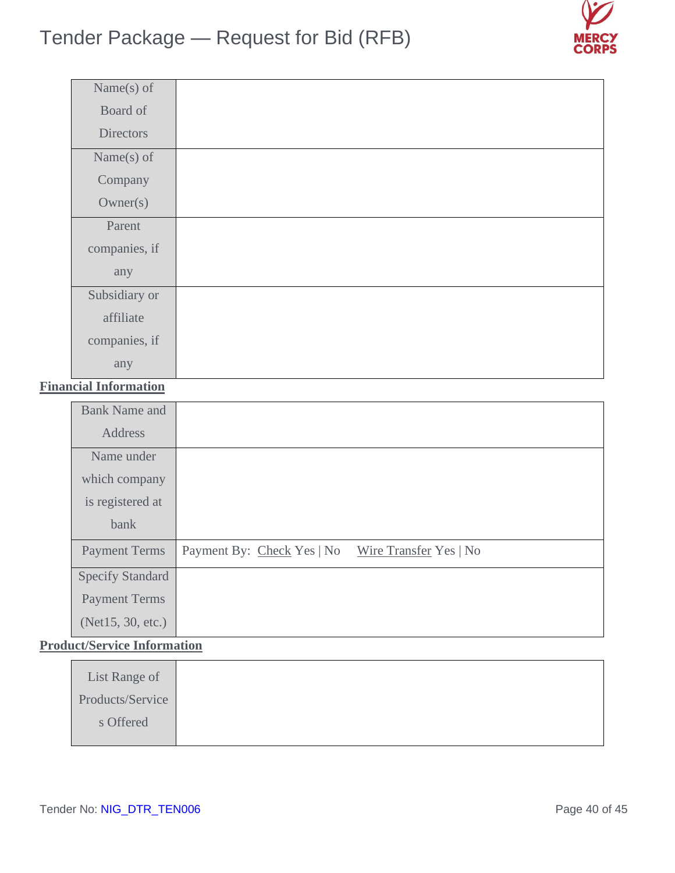

| Name $(s)$ of    |  |
|------------------|--|
| Board of         |  |
| <b>Directors</b> |  |
| Name $(s)$ of    |  |
| Company          |  |
| Owner(s)         |  |
| Parent           |  |
| companies, if    |  |
| any              |  |
| Subsidiary or    |  |
| affiliate        |  |
| companies, if    |  |
| any              |  |

### **Financial Information**

| <b>Bank Name and</b>    |                            |                        |
|-------------------------|----------------------------|------------------------|
| Address                 |                            |                        |
| Name under              |                            |                        |
| which company           |                            |                        |
| is registered at        |                            |                        |
| bank                    |                            |                        |
| <b>Payment Terms</b>    | Payment By: Check Yes   No | Wire Transfer Yes   No |
| <b>Specify Standard</b> |                            |                        |
| <b>Payment Terms</b>    |                            |                        |
| (Net15, 30, etc.)       |                            |                        |

### **Product/Service Information**

| List Range of    |
|------------------|
| Products/Service |
| s Offered        |
|                  |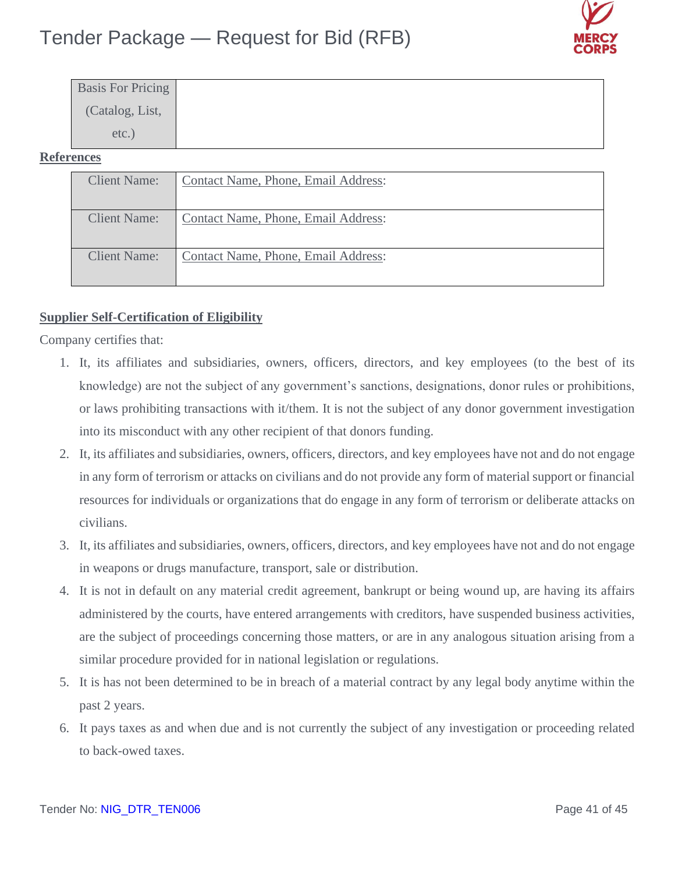

| <b>Basis For Pricing</b> |  |  |
|--------------------------|--|--|
| (Catalog, List,          |  |  |
| $etc.$ )                 |  |  |

### **References**

| <b>Client Name:</b> | Contact Name, Phone, Email Address: |
|---------------------|-------------------------------------|
| <b>Client Name:</b> | Contact Name, Phone, Email Address: |
| <b>Client Name:</b> | Contact Name, Phone, Email Address: |

### **Supplier Self-Certification of Eligibility**

Company certifies that:

- 1. It, its affiliates and subsidiaries, owners, officers, directors, and key employees (to the best of its knowledge) are not the subject of any government's sanctions, designations, donor rules or prohibitions, or laws prohibiting transactions with it/them. It is not the subject of any donor government investigation into its misconduct with any other recipient of that donors funding.
- 2. It, its affiliates and subsidiaries, owners, officers, directors, and key employees have not and do not engage in any form of terrorism or attacks on civilians and do not provide any form of material support or financial resources for individuals or organizations that do engage in any form of terrorism or deliberate attacks on civilians.
- 3. It, its affiliates and subsidiaries, owners, officers, directors, and key employees have not and do not engage in weapons or drugs manufacture, transport, sale or distribution.
- 4. It is not in default on any material credit agreement, bankrupt or being wound up, are having its affairs administered by the courts, have entered arrangements with creditors, have suspended business activities, are the subject of proceedings concerning those matters, or are in any analogous situation arising from a similar procedure provided for in national legislation or regulations.
- 5. It is has not been determined to be in breach of a material contract by any legal body anytime within the past 2 years.
- 6. It pays taxes as and when due and is not currently the subject of any investigation or proceeding related to back-owed taxes.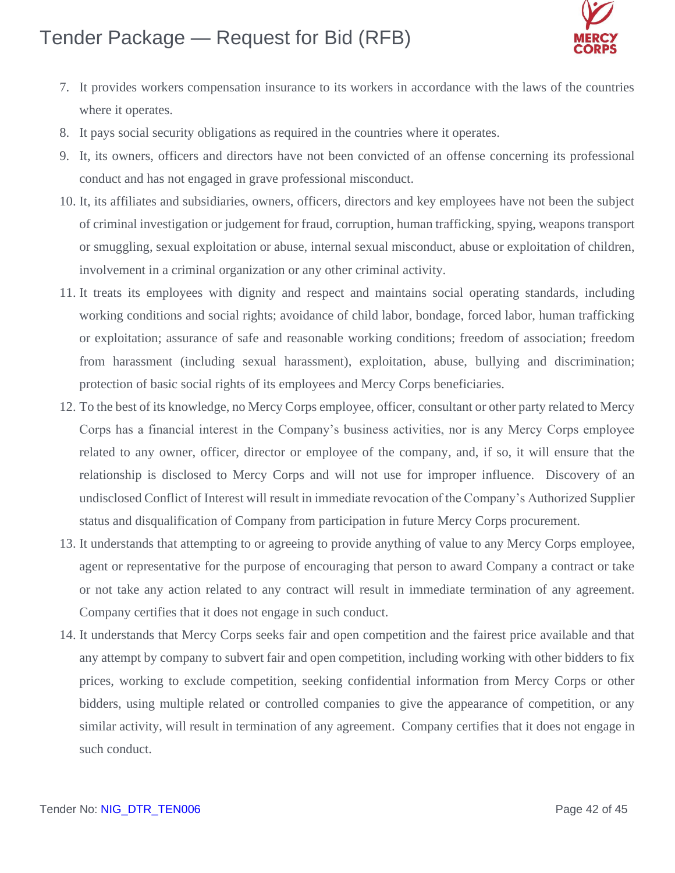

- 7. It provides workers compensation insurance to its workers in accordance with the laws of the countries where it operates.
- 8. It pays social security obligations as required in the countries where it operates.
- 9. It, its owners, officers and directors have not been convicted of an offense concerning its professional conduct and has not engaged in grave professional misconduct.
- 10. It, its affiliates and subsidiaries, owners, officers, directors and key employees have not been the subject of criminal investigation or judgement for fraud, corruption, human trafficking, spying, weapons transport or smuggling, sexual exploitation or abuse, internal sexual misconduct, abuse or exploitation of children, involvement in a criminal organization or any other criminal activity.
- 11. It treats its employees with dignity and respect and maintains social operating standards, including working conditions and social rights; avoidance of child labor, bondage, forced labor, human trafficking or exploitation; assurance of safe and reasonable working conditions; freedom of association; freedom from harassment (including sexual harassment), exploitation, abuse, bullying and discrimination; protection of basic social rights of its employees and Mercy Corps beneficiaries.
- 12. To the best of its knowledge, no Mercy Corps employee, officer, consultant or other party related to Mercy Corps has a financial interest in the Company's business activities, nor is any Mercy Corps employee related to any owner, officer, director or employee of the company, and, if so, it will ensure that the relationship is disclosed to Mercy Corps and will not use for improper influence. Discovery of an undisclosed Conflict of Interest will result in immediate revocation of the Company's Authorized Supplier status and disqualification of Company from participation in future Mercy Corps procurement.
- 13. It understands that attempting to or agreeing to provide anything of value to any Mercy Corps employee, agent or representative for the purpose of encouraging that person to award Company a contract or take or not take any action related to any contract will result in immediate termination of any agreement. Company certifies that it does not engage in such conduct.
- 14. It understands that Mercy Corps seeks fair and open competition and the fairest price available and that any attempt by company to subvert fair and open competition, including working with other bidders to fix prices, working to exclude competition, seeking confidential information from Mercy Corps or other bidders, using multiple related or controlled companies to give the appearance of competition, or any similar activity, will result in termination of any agreement. Company certifies that it does not engage in such conduct.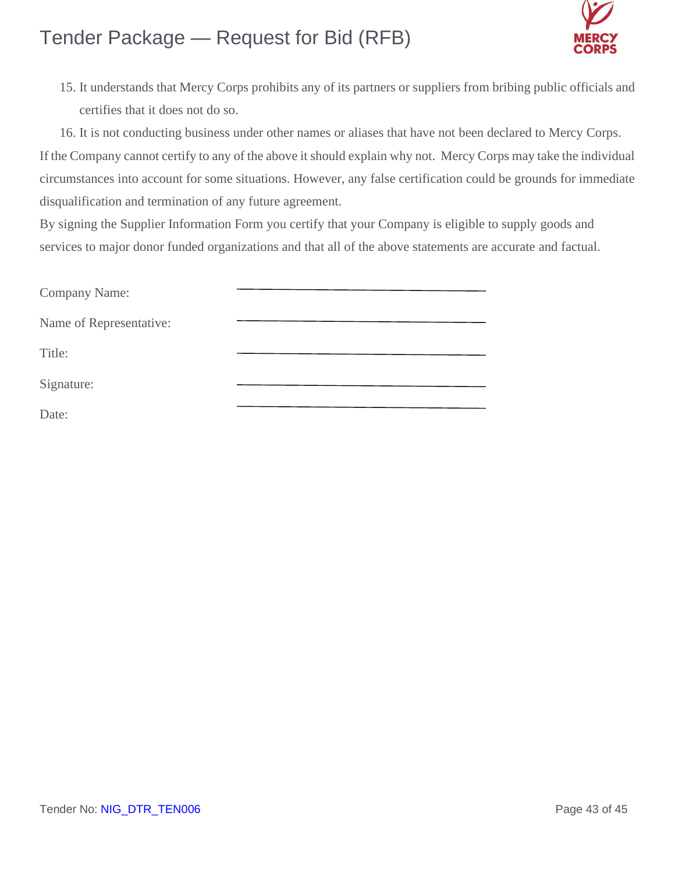

15. It understands that Mercy Corps prohibits any of its partners or suppliers from bribing public officials and certifies that it does not do so.

16. It is not conducting business under other names or aliases that have not been declared to Mercy Corps. If the Company cannot certify to any of the above it should explain why not. Mercy Corps may take the individual circumstances into account for some situations. However, any false certification could be grounds for immediate disqualification and termination of any future agreement.

By signing the Supplier Information Form you certify that your Company is eligible to supply goods and services to major donor funded organizations and that all of the above statements are accurate and factual.

| Company Name:           |  |
|-------------------------|--|
| Name of Representative: |  |
| Title:                  |  |
| Signature:              |  |
| Date:                   |  |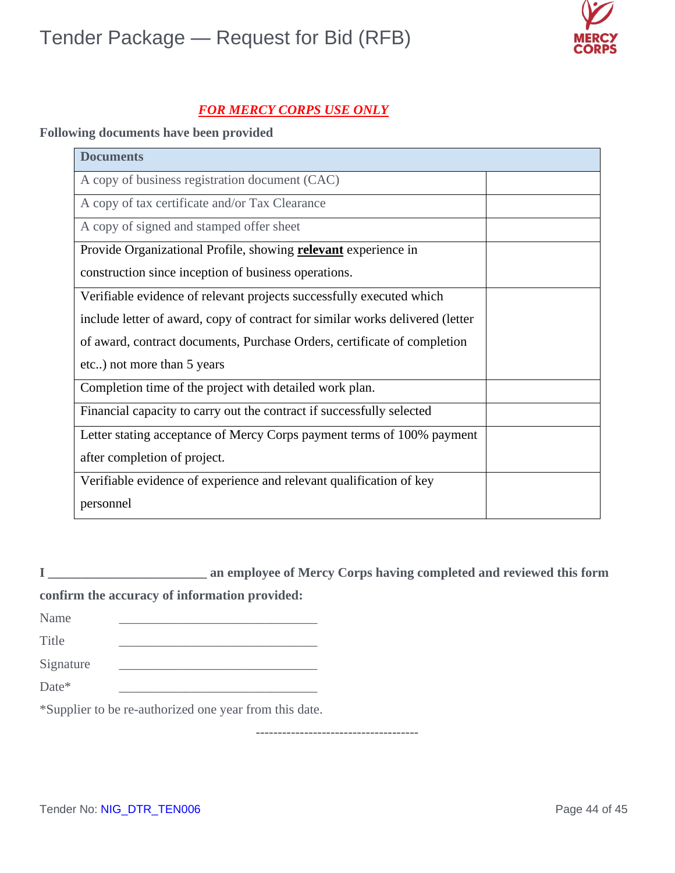

### *FOR MERCY CORPS USE ONLY*

### **Following documents have been provided**

| <b>Documents</b>                                                              |  |
|-------------------------------------------------------------------------------|--|
| A copy of business registration document (CAC)                                |  |
| A copy of tax certificate and/or Tax Clearance                                |  |
| A copy of signed and stamped offer sheet                                      |  |
| Provide Organizational Profile, showing <b>relevant</b> experience in         |  |
| construction since inception of business operations.                          |  |
| Verifiable evidence of relevant projects successfully executed which          |  |
| include letter of award, copy of contract for similar works delivered (letter |  |
| of award, contract documents, Purchase Orders, certificate of completion      |  |
| etc) not more than 5 years                                                    |  |
| Completion time of the project with detailed work plan.                       |  |
| Financial capacity to carry out the contract if successfully selected         |  |
| Letter stating acceptance of Mercy Corps payment terms of 100% payment        |  |
| after completion of project.                                                  |  |
| Verifiable evidence of experience and relevant qualification of key           |  |
| personnel                                                                     |  |

**I \_\_\_\_\_\_\_\_\_\_\_\_\_\_\_\_\_\_\_\_\_\_\_\_ an employee of Mercy Corps having completed and reviewed this form** 

### **confirm the accuracy of information provided:**

| Name      |  |
|-----------|--|
| Title     |  |
| Signature |  |

Date\* \_\_\_\_\_\_\_\_\_\_\_\_\_\_\_\_\_\_\_\_\_\_\_\_\_\_\_\_\_\_

\*Supplier to be re-authorized one year from this date.

**-------------------------------------**